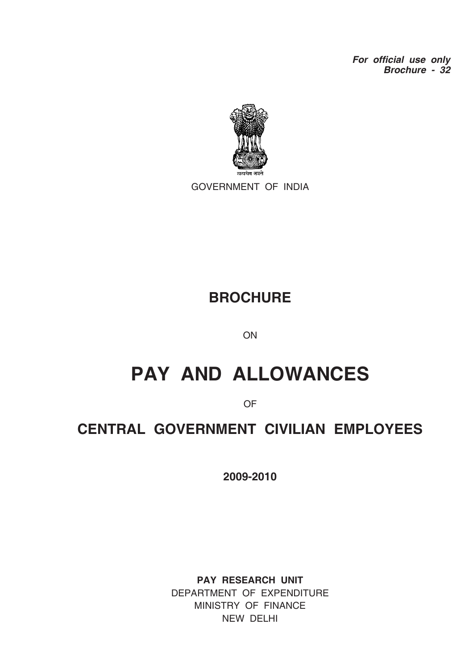*For official use only Brochure - 32*



GOVERNMENT OF INDIA

## **BROCHURE**

**ON** 

# **PAY AND ALLOWANCES**

OF

# **CENTRAL GOVERNMENT CIVILIAN EMPLOYEES**

**2009-2010**

**PAY RESEARCH UNIT** DEPARTMENT OF EXPENDITURE MINISTRY OF FINANCE NEW DELHI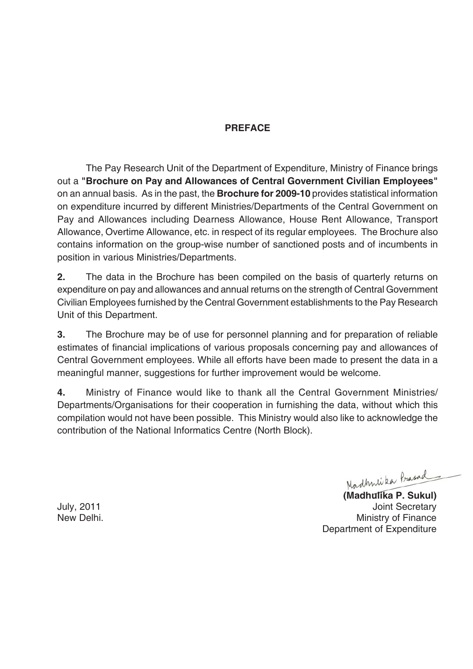### **PREFACE**

The Pay Research Unit of the Department of Expenditure, Ministry of Finance brings out a **"Brochure on Pay and Allowances of Central Government Civilian Employees"** on an annual basis. As in the past, the **Brochure for 2009-10** provides statistical information on expenditure incurred by different Ministries/Departments of the Central Government on Pay and Allowances including Dearness Allowance, House Rent Allowance, Transport Allowance, Overtime Allowance, etc. in respect of its regular employees. The Brochure also contains information on the group-wise number of sanctioned posts and of incumbents in position in various Ministries/Departments.

**2.** The data in the Brochure has been compiled on the basis of quarterly returns on expenditure on pay and allowances and annual returns on the strength of Central Government Civilian Employees furnished by the Central Government establishments to the Pay Research Unit of this Department.

**3.** The Brochure may be of use for personnel planning and for preparation of reliable estimates of financial implications of various proposals concerning pay and allowances of Central Government employees. While all efforts have been made to present the data in a meaningful manner, suggestions for further improvement would be welcome.

**4.** Ministry of Finance would like to thank all the Central Government Ministries/ Departments/Organisations for their cooperation in furnishing the data, without which this compilation would not have been possible. This Ministry would also like to acknowledge the contribution of the National Informatics Centre (North Block).

Madhnika Prasad

**(Madhulika P. Sukul)** July, 2011 Joint Secretary New Delhi. New Delhi. Department of Expenditure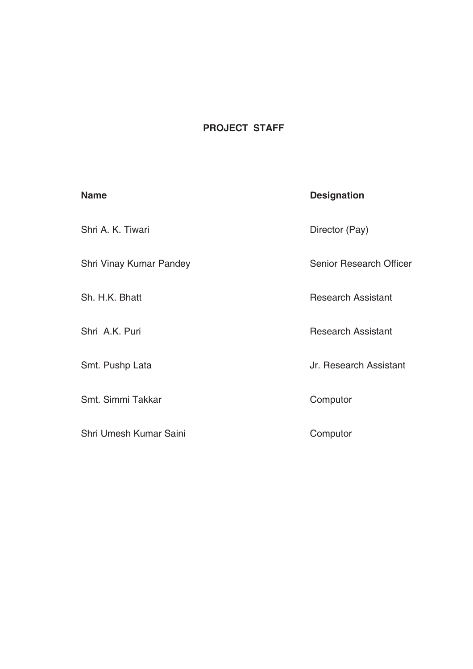### **PROJECT STAFF**

| <b>Name</b>             | <b>Designation</b>             |
|-------------------------|--------------------------------|
| Shri A. K. Tiwari       | Director (Pay)                 |
| Shri Vinay Kumar Pandey | <b>Senior Research Officer</b> |
| Sh. H.K. Bhatt          | <b>Research Assistant</b>      |
| Shri A.K. Puri          | <b>Research Assistant</b>      |
| Smt. Pushp Lata         | Jr. Research Assistant         |
| Smt. Simmi Takkar       | Computor                       |
| Shri Umesh Kumar Saini  | Computor                       |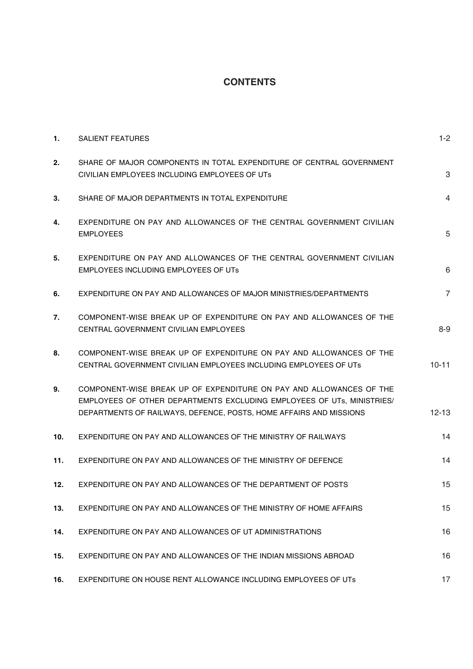### **CONTENTS**

| $\mathbf{1}$ . | <b>SALIENT FEATURES</b>                                                                                                                                                                                             | $1 - 2$        |
|----------------|---------------------------------------------------------------------------------------------------------------------------------------------------------------------------------------------------------------------|----------------|
| 2.             | SHARE OF MAJOR COMPONENTS IN TOTAL EXPENDITURE OF CENTRAL GOVERNMENT<br>CIVILIAN EMPLOYEES INCLUDING EMPLOYEES OF UTS                                                                                               | 3              |
| 3.             | SHARE OF MAJOR DEPARTMENTS IN TOTAL EXPENDITURE                                                                                                                                                                     | $\overline{4}$ |
| 4.             | EXPENDITURE ON PAY AND ALLOWANCES OF THE CENTRAL GOVERNMENT CIVILIAN<br><b>EMPLOYEES</b>                                                                                                                            | 5              |
| 5.             | EXPENDITURE ON PAY AND ALLOWANCES OF THE CENTRAL GOVERNMENT CIVILIAN<br><b>EMPLOYEES INCLUDING EMPLOYEES OF UTS</b>                                                                                                 | 6              |
| 6.             | EXPENDITURE ON PAY AND ALLOWANCES OF MAJOR MINISTRIES/DEPARTMENTS                                                                                                                                                   | $\overline{7}$ |
| 7.             | COMPONENT-WISE BREAK UP OF EXPENDITURE ON PAY AND ALLOWANCES OF THE<br>CENTRAL GOVERNMENT CIVILIAN EMPLOYEES                                                                                                        | $8 - 9$        |
| 8.             | COMPONENT-WISE BREAK UP OF EXPENDITURE ON PAY AND ALLOWANCES OF THE<br>CENTRAL GOVERNMENT CIVILIAN EMPLOYEES INCLUDING EMPLOYEES OF UTS                                                                             | $10 - 11$      |
| 9.             | COMPONENT-WISE BREAK UP OF EXPENDITURE ON PAY AND ALLOWANCES OF THE<br>EMPLOYEES OF OTHER DEPARTMENTS EXCLUDING EMPLOYEES OF UTs, MINISTRIES/<br>DEPARTMENTS OF RAILWAYS, DEFENCE, POSTS, HOME AFFAIRS AND MISSIONS | $12 - 13$      |
| 10.            | EXPENDITURE ON PAY AND ALLOWANCES OF THE MINISTRY OF RAILWAYS                                                                                                                                                       | 14             |
| 11.            | EXPENDITURE ON PAY AND ALLOWANCES OF THE MINISTRY OF DEFENCE                                                                                                                                                        | 14             |
| 12.            | EXPENDITURE ON PAY AND ALLOWANCES OF THE DEPARTMENT OF POSTS                                                                                                                                                        | 15             |
| 13.            | EXPENDITURE ON PAY AND ALLOWANCES OF THE MINISTRY OF HOME AFFAIRS                                                                                                                                                   | 15             |
| 14.            | EXPENDITURE ON PAY AND ALLOWANCES OF UT ADMINISTRATIONS                                                                                                                                                             | 16             |
| 15.            | EXPENDITURE ON PAY AND ALLOWANCES OF THE INDIAN MISSIONS ABROAD                                                                                                                                                     | 16             |
| 16.            | EXPENDITURE ON HOUSE RENT ALLOWANCE INCLUDING EMPLOYEES OF UTS                                                                                                                                                      | 17             |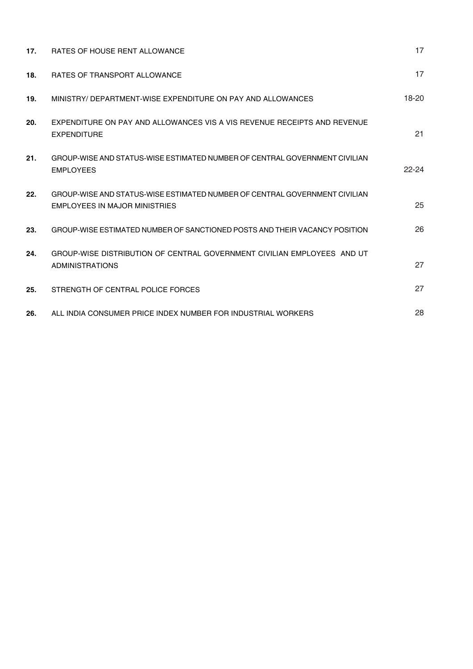| 17. | RATES OF HOUSE RENT ALLOWANCE                                                                               | 17        |
|-----|-------------------------------------------------------------------------------------------------------------|-----------|
| 18. | <b>RATES OF TRANSPORT ALLOWANCE</b>                                                                         | 17        |
| 19. | MINISTRY/ DEPARTMENT-WISE EXPENDITURE ON PAY AND ALLOWANCES                                                 | $18-20$   |
| 20. | EXPENDITURE ON PAY AND ALLOWANCES VIS A VIS REVENUE RECEIPTS AND REVENUE<br><b>EXPENDITURE</b>              | 21        |
| 21. | GROUP-WISE AND STATUS-WISE ESTIMATED NUMBER OF CENTRAL GOVERNMENT CIVILIAN<br><b>EMPLOYEES</b>              | $22 - 24$ |
| 22. | GROUP-WISE AND STATUS-WISE ESTIMATED NUMBER OF CENTRAL GOVERNMENT CIVILIAN<br>EMPLOYEES IN MAJOR MINISTRIES | 25        |
| 23. | GROUP-WISE ESTIMATED NUMBER OF SANCTIONED POSTS AND THEIR VACANCY POSITION                                  | 26        |
| 24. | GROUP-WISE DISTRIBUTION OF CENTRAL GOVERNMENT CIVILIAN EMPLOYEES AND UT<br><b>ADMINISTRATIONS</b>           | 27        |
| 25. | STRENGTH OF CENTRAL POLICE FORCES                                                                           | 27        |
| 26. | ALL INDIA CONSUMER PRICE INDEX NUMBER FOR INDUSTRIAL WORKERS                                                | 28        |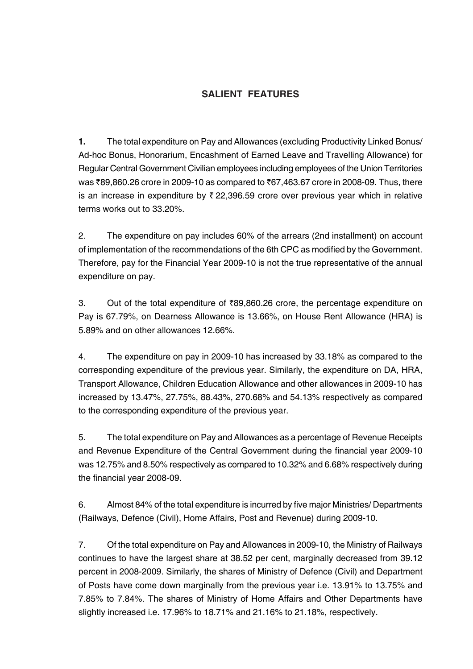### **SALIENT FEATURES**

**1.** The total expenditure on Pay and Allowances (excluding Productivity Linked Bonus/ Ad-hoc Bonus, Honorarium, Encashment of Earned Leave and Travelling Allowance) for Regular Central Government Civilian employees including employees of the Union Territories was ₹89,860.26 crore in 2009-10 as compared to ₹67,463.67 crore in 2008-09. Thus, there is an increase in expenditure by  $\bar{\tau}$  22,396.59 crore over previous year which in relative terms works out to 33.20%.

2. The expenditure on pay includes 60% of the arrears (2nd installment) on account of implementation of the recommendations of the 6th CPC as modified by the Government. Therefore, pay for the Financial Year 2009-10 is not the true representative of the annual expenditure on pay.

3. Out of the total expenditure of  $\bar{z}89,860.26$  crore, the percentage expenditure on Pay is 67.79%, on Dearness Allowance is 13.66%, on House Rent Allowance (HRA) is 5.89% and on other allowances 12.66%.

4. The expenditure on pay in 2009-10 has increased by 33.18% as compared to the corresponding expenditure of the previous year. Similarly, the expenditure on DA, HRA, Transport Allowance, Children Education Allowance and other allowances in 2009-10 has increased by 13.47%, 27.75%, 88.43%, 270.68% and 54.13% respectively as compared to the corresponding expenditure of the previous year.

5. The total expenditure on Pay and Allowances as a percentage of Revenue Receipts and Revenue Expenditure of the Central Government during the financial year 2009-10 was 12.75% and 8.50% respectively as compared to 10.32% and 6.68% respectively during the financial year 2008-09.

6. Almost 84% of the total expenditure is incurred by five major Ministries/ Departments (Railways, Defence (Civil), Home Affairs, Post and Revenue) during 2009-10.

7. Of the total expenditure on Pay and Allowances in 2009-10, the Ministry of Railways continues to have the largest share at 38.52 per cent, marginally decreased from 39.12 percent in 2008-2009. Similarly, the shares of Ministry of Defence (Civil) and Department of Posts have come down marginally from the previous year i.e. 13.91% to 13.75% and 7.85% to 7.84%. The shares of Ministry of Home Affairs and Other Departments have slightly increased i.e. 17.96% to 18.71% and 21.16% to 21.18%, respectively.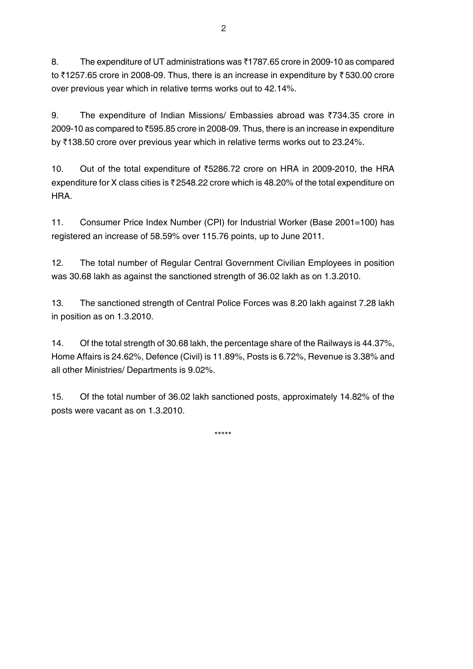8. The expenditure of UT administrations was  $\bar{\tau}$ 1787.65 crore in 2009-10 as compared to  $\bar{\tau}$ 1257.65 crore in 2008-09. Thus, there is an increase in expenditure by  $\bar{\tau}$  530.00 crore over previous year which in relative terms works out to 42.14%.

9. The expenditure of Indian Missions/ Embassies abroad was  $\overline{3}734.35$  crore in 2009-10 as compared to ₹595.85 crore in 2008-09. Thus, there is an increase in expenditure by  $\overline{3}138.50$  crore over previous year which in relative terms works out to 23.24%.

10. Out of the total expenditure of `5286.72 crore on HRA in 2009-2010, the HRA expenditure for X class cities is  $\bar{\tau}$  2548.22 crore which is 48.20% of the total expenditure on HRA.

11. Consumer Price Index Number (CPI) for Industrial Worker (Base 2001=100) has registered an increase of 58.59% over 115.76 points, up to June 2011.

12. The total number of Regular Central Government Civilian Employees in position was 30.68 lakh as against the sanctioned strength of 36.02 lakh as on 1.3.2010.

13. The sanctioned strength of Central Police Forces was 8.20 lakh against 7.28 lakh in position as on 1.3.2010.

14. Of the total strength of 30.68 lakh, the percentage share of the Railways is 44.37%, Home Affairs is 24.62%, Defence (Civil) is 11.89%, Posts is 6.72%, Revenue is 3.38% and all other Ministries/ Departments is 9.02%.

15. Of the total number of 36.02 lakh sanctioned posts, approximately 14.82% of the posts were vacant as on 1.3.2010.

\*\*\*\*\*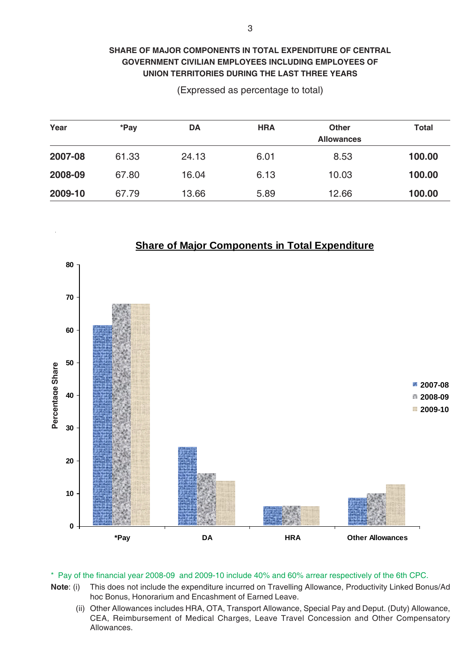### **SHARE OF MAJOR COMPONENTS IN TOTAL EXPENDITURE OF CENTRAL GOVERNMENT CIVILIAN EMPLOYEES INCLUDING EMPLOYEES OF UNION TERRITORIES DURING THE LAST THREE YEARS**

(Expressed as percentage to total)

| Year    | *Pay  | DA    | <b>HRA</b> | <b>Other</b><br><b>Allowances</b> | <b>Total</b> |
|---------|-------|-------|------------|-----------------------------------|--------------|
| 2007-08 | 61.33 | 24.13 | 6.01       | 8.53                              | 100.00       |
| 2008-09 | 67.80 | 16.04 | 6.13       | 10.03                             | 100.00       |
| 2009-10 | 67.79 | 13.66 | 5.89       | 12.66                             | 100.00       |



- **Note**: (i) This does not include the expenditure incurred on Travelling Allowance, Productivity Linked Bonus/Ad hoc Bonus, Honorarium and Encashment of Earned Leave.
	- (ii) Other Allowances includes HRA, OTA, Transport Allowance, Special Pay and Deput. (Duty) Allowance, CEA, Reimbursement of Medical Charges, Leave Travel Concession and Other Compensatory Allowances.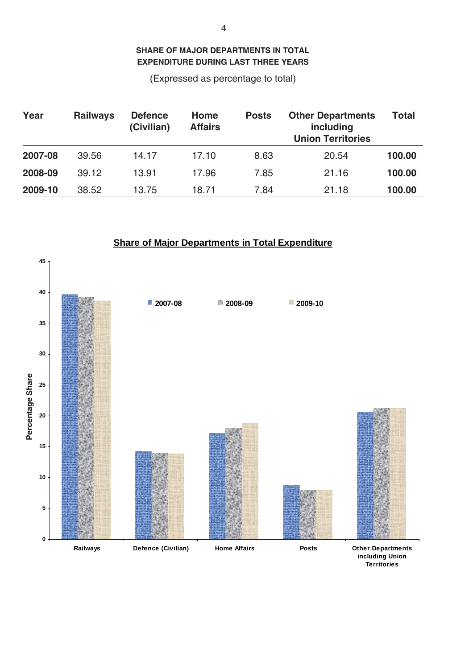**SHARE OF MAJOR DEPARTMENTS IN TOTAL EXPENDITURE DURING LAST THREE YEARS**

(Expressed as percentage to total)

| Year    | <b>Railways</b> | <b>Defence</b><br>(Civilian) | Home<br><b>Affairs</b> | <b>Posts</b> | <b>Other Departments</b><br>including<br><b>Union Territories</b> | <b>Total</b> |
|---------|-----------------|------------------------------|------------------------|--------------|-------------------------------------------------------------------|--------------|
| 2007-08 | 39.56           | 14.17                        | 17.10                  | 8.63         | 20.54                                                             | 100.00       |
| 2008-09 | 39.12           | 13.91                        | 17.96                  | 7.85         | 21.16                                                             | 100.00       |
| 2009-10 | 38.52           | 13.75                        | 18.71                  | 7.84         | 21.18                                                             | 100.00       |



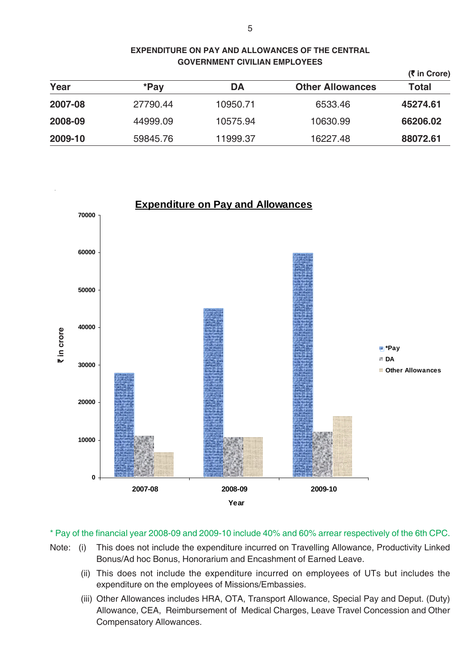|         |          |          |                         | (₹ in Crore) |
|---------|----------|----------|-------------------------|--------------|
| Year    | *Pay     | DA       | <b>Other Allowances</b> | <b>Total</b> |
| 2007-08 | 27790.44 | 10950.71 | 6533.46                 | 45274.61     |
| 2008-09 | 44999.09 | 10575.94 | 10630.99                | 66206.02     |
| 2009-10 | 59845.76 | 11999.37 | 16227.48                | 88072.61     |



\* Pay of the financial year 2008-09 and 2009-10 include 40% and 60% arrear respectively of the 6th CPC.

- Note: (i) This does not include the expenditure incurred on Travelling Allowance, Productivity Linked Bonus/Ad hoc Bonus, Honorarium and Encashment of Earned Leave.
	- (ii) This does not include the expenditure incurred on employees of UTs but includes the expenditure on the employees of Missions/Embassies.
	- (iii) Other Allowances includes HRA, OTA, Transport Allowance, Special Pay and Deput. (Duty) Allowance, CEA, Reimbursement of Medical Charges, Leave Travel Concession and Other Compensatory Allowances.

**EXPENDITURE ON PAY AND ALLOWANCES OF THE CENTRAL GOVERNMENT CIVILIAN EMPLOYEES**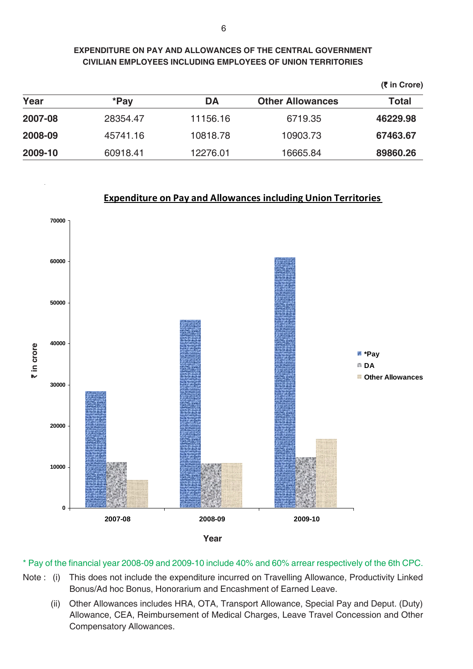### **EXPENDITURE ON PAY AND ALLOWANCES OF THE CENTRAL GOVERNMENT CIVILIAN EMPLOYEES INCLUDING EMPLOYEES OF UNION TERRITORIES**

|         |          |          |                         | $(5 \in \text{C} \text{})$ |
|---------|----------|----------|-------------------------|----------------------------|
| Year    | *Pay     | DA       | <b>Other Allowances</b> | <b>Total</b>               |
| 2007-08 | 28354.47 | 11156.16 | 6719.35                 | 46229.98                   |
| 2008-09 | 45741.16 | 10818.78 | 10903.73                | 67463.67                   |
| 2009-10 | 60918.41 | 12276.01 | 16665.84                | 89860.26                   |

### **Expenditure on Pay and Allowances including Union Territories**



- Note : (i) This does not include the expenditure incurred on Travelling Allowance, Productivity Linked Bonus/Ad hoc Bonus, Honorarium and Encashment of Earned Leave.
	- (ii) Other Allowances includes HRA, OTA, Transport Allowance, Special Pay and Deput. (Duty) Allowance, CEA, Reimbursement of Medical Charges, Leave Travel Concession and Other Compensatory Allowances.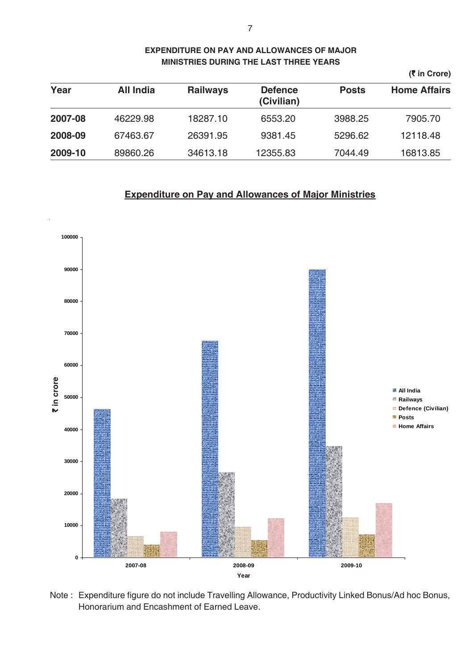|         |                  |                 |                              |              | $(5 \in \text{C} \text{})$ |
|---------|------------------|-----------------|------------------------------|--------------|----------------------------|
| Year    | <b>All India</b> | <b>Railways</b> | <b>Defence</b><br>(Civilian) | <b>Posts</b> | <b>Home Affairs</b>        |
| 2007-08 | 46229.98         | 18287.10        | 6553.20                      | 3988.25      | 7905.70                    |
| 2008-09 | 67463.67         | 26391.95        | 9381.45                      | 5296.62      | 12118.48                   |
| 2009-10 | 89860.26         | 34613.18        | 12355.83                     | 7044.49      | 16813.85                   |

### **EXPENDITURE ON PAY AND ALLOWANCES OF MAJOR MINISTRIES DURING THE LAST THREE YEARS**

### **Expenditure on Pay and Allowances of Major Ministries**



Note : Expenditure figure do not include Travelling Allowance, Productivity Linked Bonus/Ad hoc Bonus, Honorarium and Encashment of Earned Leave.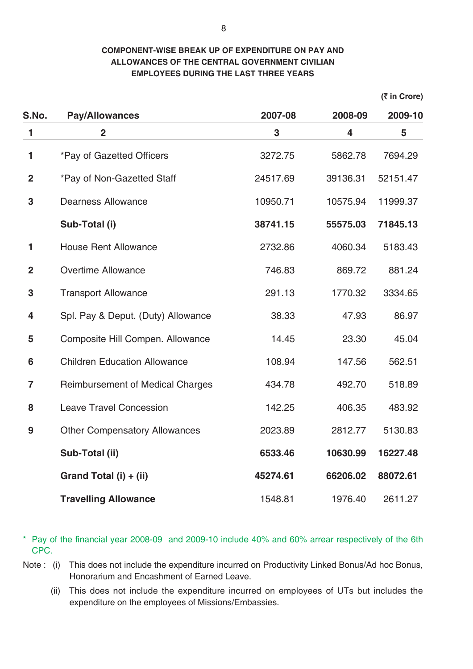### **COMPONENT-WISE BREAK UP OF EXPENDITURE ON PAY AND ALLOWANCES OF THE CENTRAL GOVERNMENT CIVILIAN EMPLOYEES DURING THE LAST THREE YEARS**

**(**` **in Crore)**

| S.No.          | <b>Pay/Allowances</b>                   | 2007-08  | 2008-09  | 2009-10  |
|----------------|-----------------------------------------|----------|----------|----------|
| $\mathbf{1}$   | $\overline{2}$                          | 3        | 4        | 5        |
| 1              | *Pay of Gazetted Officers               | 3272.75  | 5862.78  | 7694.29  |
| $\overline{2}$ | <i>*Pay of Non-Gazetted Staff</i>       | 24517.69 | 39136.31 | 52151.47 |
| 3              | <b>Dearness Allowance</b>               | 10950.71 | 10575.94 | 11999.37 |
|                | Sub-Total (i)                           | 38741.15 | 55575.03 | 71845.13 |
| 1              | <b>House Rent Allowance</b>             | 2732.86  | 4060.34  | 5183.43  |
| $\overline{2}$ | <b>Overtime Allowance</b>               | 746.83   | 869.72   | 881.24   |
| 3              | <b>Transport Allowance</b>              | 291.13   | 1770.32  | 3334.65  |
| 4              | Spl. Pay & Deput. (Duty) Allowance      | 38.33    | 47.93    | 86.97    |
| 5              | Composite Hill Compen. Allowance        | 14.45    | 23.30    | 45.04    |
| 6              | <b>Children Education Allowance</b>     | 108.94   | 147.56   | 562.51   |
| $\overline{7}$ | <b>Reimbursement of Medical Charges</b> | 434.78   | 492.70   | 518.89   |
| 8              | <b>Leave Travel Concession</b>          | 142.25   | 406.35   | 483.92   |
| 9              | <b>Other Compensatory Allowances</b>    | 2023.89  | 2812.77  | 5130.83  |
|                | Sub-Total (ii)                          | 6533.46  | 10630.99 | 16227.48 |
|                | Grand Total (i) + (ii)                  | 45274.61 | 66206.02 | 88072.61 |
|                | <b>Travelling Allowance</b>             | 1548.81  | 1976.40  | 2611.27  |

- Note : (i) This does not include the expenditure incurred on Productivity Linked Bonus/Ad hoc Bonus, Honorarium and Encashment of Earned Leave.
	- (ii) This does not include the expenditure incurred on employees of UTs but includes the expenditure on the employees of Missions/Embassies.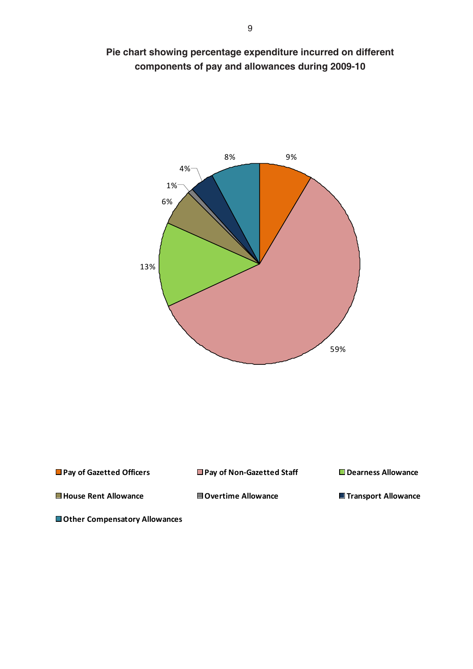



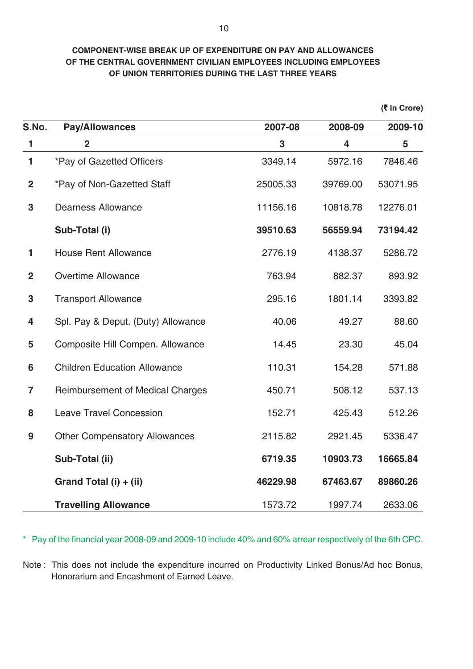### **COMPONENT-WISE BREAK UP OF EXPENDITURE ON PAY AND ALLOWANCES OF THE CENTRAL GOVERNMENT CIVILIAN EMPLOYEES INCLUDING EMPLOYEES OF UNION TERRITORIES DURING THE LAST THREE YEARS**

**(**` **in Crore)**

| S.No.          | <b>Pay/Allowances</b>                   | 2007-08  | 2008-09  | 2009-10  |
|----------------|-----------------------------------------|----------|----------|----------|
| $\mathbf{1}$   | $\overline{2}$                          | 3        | 4        | 5        |
| 1              | *Pay of Gazetted Officers               | 3349.14  | 5972.16  | 7846.46  |
| $\overline{2}$ | *Pay of Non-Gazetted Staff              | 25005.33 | 39769.00 | 53071.95 |
| 3              | <b>Dearness Allowance</b>               | 11156.16 | 10818.78 | 12276.01 |
|                | Sub-Total (i)                           | 39510.63 | 56559.94 | 73194.42 |
| 1              | <b>House Rent Allowance</b>             | 2776.19  | 4138.37  | 5286.72  |
| $\overline{2}$ | <b>Overtime Allowance</b>               | 763.94   | 882.37   | 893.92   |
| 3              | <b>Transport Allowance</b>              | 295.16   | 1801.14  | 3393.82  |
| 4              | Spl. Pay & Deput. (Duty) Allowance      | 40.06    | 49.27    | 88.60    |
| 5              | Composite Hill Compen. Allowance        | 14.45    | 23.30    | 45.04    |
| 6              | <b>Children Education Allowance</b>     | 110.31   | 154.28   | 571.88   |
| $\overline{7}$ | <b>Reimbursement of Medical Charges</b> | 450.71   | 508.12   | 537.13   |
| 8              | <b>Leave Travel Concession</b>          | 152.71   | 425.43   | 512.26   |
| 9              | <b>Other Compensatory Allowances</b>    | 2115.82  | 2921.45  | 5336.47  |
|                | Sub-Total (ii)                          | 6719.35  | 10903.73 | 16665.84 |
|                | Grand Total (i) + (ii)                  | 46229.98 | 67463.67 | 89860.26 |
|                | <b>Travelling Allowance</b>             | 1573.72  | 1997.74  | 2633.06  |

\* Pay of the financial year 2008-09 and 2009-10 include 40% and 60% arrear respectively of the 6th CPC.

Note : This does not include the expenditure incurred on Productivity Linked Bonus/Ad hoc Bonus, Honorarium and Encashment of Earned Leave.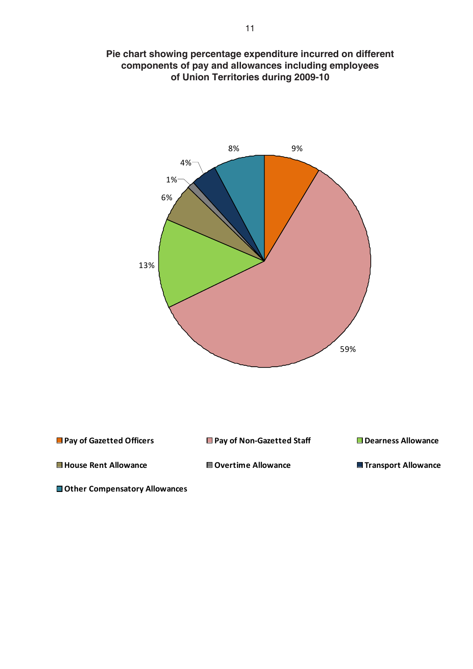

**Pie chart showing percentage expenditure incurred on different components of pay and allowances including employees of Union Territories during 2009-10**

8%

9%

**Other Compensatory Allowances**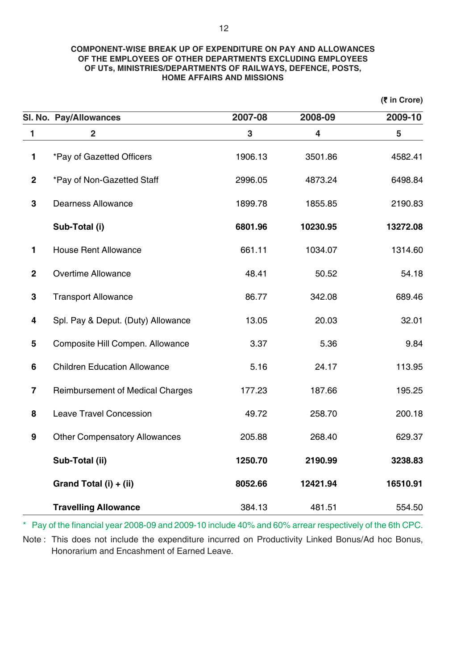### **COMPONENT-WISE BREAK UP OF EXPENDITURE ON PAY AND ALLOWANCES OF THE EMPLOYEES OF OTHER DEPARTMENTS EXCLUDING EMPLOYEES OF UTs, MINISTRIES/DEPARTMENTS OF RAILWAYS, DEFENCE, POSTS, HOME AFFAIRS AND MISSIONS**

|                         |                                      |         |          | (₹ in Crore) |
|-------------------------|--------------------------------------|---------|----------|--------------|
|                         | SI. No. Pay/Allowances               | 2007-08 | 2008-09  | 2009-10      |
| 1                       | $\overline{2}$                       | 3       | 4        | 5            |
| $\mathbf{1}$            | *Pay of Gazetted Officers            | 1906.13 | 3501.86  | 4582.41      |
| $\mathbf 2$             | *Pay of Non-Gazetted Staff           | 2996.05 | 4873.24  | 6498.84      |
| $\mathbf 3$             | <b>Dearness Allowance</b>            | 1899.78 | 1855.85  | 2190.83      |
|                         | Sub-Total (i)                        | 6801.96 | 10230.95 | 13272.08     |
| $\mathbf{1}$            | <b>House Rent Allowance</b>          | 661.11  | 1034.07  | 1314.60      |
| $\overline{2}$          | <b>Overtime Allowance</b>            | 48.41   | 50.52    | 54.18        |
| $\mathbf 3$             | <b>Transport Allowance</b>           | 86.77   | 342.08   | 689.46       |
| 4                       | Spl. Pay & Deput. (Duty) Allowance   | 13.05   | 20.03    | 32.01        |
| 5                       | Composite Hill Compen. Allowance     | 3.37    | 5.36     | 9.84         |
| $6\phantom{a}$          | <b>Children Education Allowance</b>  | 5.16    | 24.17    | 113.95       |
| $\overline{\mathbf{7}}$ | Reimbursement of Medical Charges     | 177.23  | 187.66   | 195.25       |
| 8                       | <b>Leave Travel Concession</b>       | 49.72   | 258.70   | 200.18       |
| 9                       | <b>Other Compensatory Allowances</b> | 205.88  | 268.40   | 629.37       |
|                         | Sub-Total (ii)                       | 1250.70 | 2190.99  | 3238.83      |
|                         | Grand Total (i) + (ii)               | 8052.66 | 12421.94 | 16510.91     |
|                         | <b>Travelling Allowance</b>          | 384.13  | 481.51   | 554.50       |

\* Pay of the financial year 2008-09 and 2009-10 include 40% and 60% arrear respectively of the 6th CPC.

Note : This does not include the expenditure incurred on Productivity Linked Bonus/Ad hoc Bonus, Honorarium and Encashment of Earned Leave.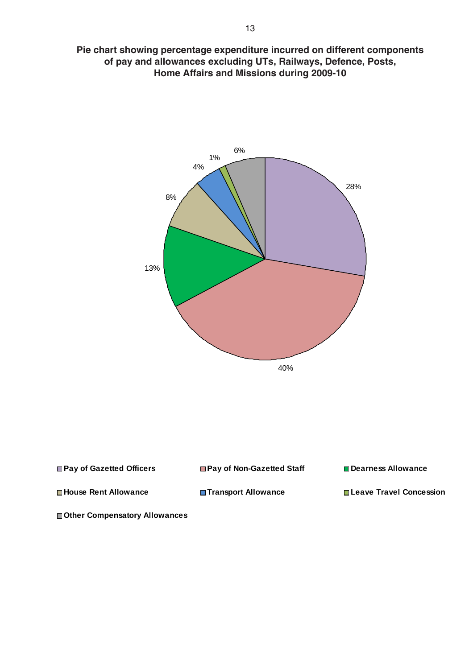**Pie chart showing percentage expenditure incurred on different components of pay and allowances excluding UTs, Railways, Defence, Posts, Home Affairs and Missions during 2009-10**



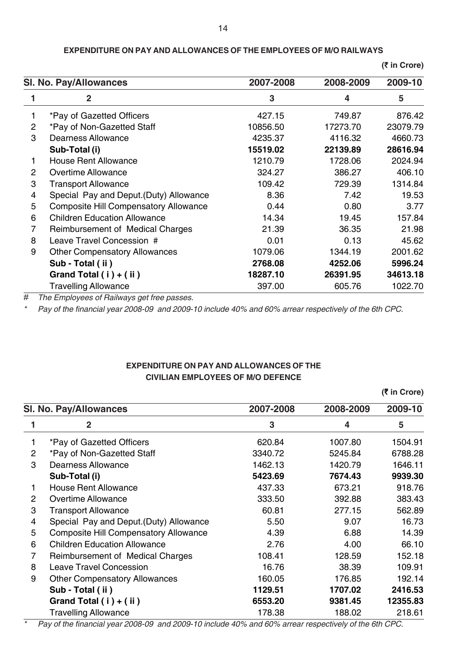|                | <b>SI. No. Pay/Allowances</b>                | 2007-2008 | 2008-2009               | 2009-10  |
|----------------|----------------------------------------------|-----------|-------------------------|----------|
|                | $\overline{2}$                               | 3         | $\overline{\mathbf{4}}$ | 5        |
|                | *Pay of Gazetted Officers                    | 427.15    | 749.87                  | 876.42   |
| $\overline{2}$ | *Pay of Non-Gazetted Staff                   | 10856.50  | 17273.70                | 23079.79 |
| 3              | Dearness Allowance                           | 4235.37   | 4116.32                 | 4660.73  |
|                | Sub-Total (i)                                | 15519.02  | 22139.89                | 28616.94 |
|                | <b>House Rent Allowance</b>                  | 1210.79   | 1728.06                 | 2024.94  |
| 2              | <b>Overtime Allowance</b>                    | 324.27    | 386.27                  | 406.10   |
| 3              | <b>Transport Allowance</b>                   | 109.42    | 729.39                  | 1314.84  |
| 4              | Special Pay and Deput. (Duty) Allowance      | 8.36      | 7.42                    | 19.53    |
| 5              | <b>Composite Hill Compensatory Allowance</b> | 0.44      | 0.80                    | 3.77     |
| 6              | <b>Children Education Allowance</b>          | 14.34     | 19.45                   | 157.84   |
| 7              | Reimbursement of Medical Charges             | 21.39     | 36.35                   | 21.98    |
| 8              | Leave Travel Concession #                    | 0.01      | 0.13                    | 45.62    |
| 9              | <b>Other Compensatory Allowances</b>         | 1079.06   | 1344.19                 | 2001.62  |
|                | Sub - Total (ii)                             | 2768.08   | 4252.06                 | 5996.24  |
|                | Grand Total $(i) + (ii)$                     | 18287.10  | 26391.95                | 34613.18 |
|                | <b>Travelling Allowance</b>                  | 397.00    | 605.76                  | 1022.70  |

**EXPENDITURE ON PAY AND ALLOWANCES OF THE EMPLOYEES OF M/O RAILWAYS**

**(**` **in Crore)**

# *The Employees of Railways get free passes.*

*\* Pay of the financial year 2008-09 and 2009-10 include 40% and 60% arrear respectively of the 6th CPC.*

### **EXPENDITURE ON PAY AND ALLOWANCES OF THE CIVILIAN EMPLOYEES OF M/O DEFENCE**

|                |                                              |           |           | (₹ in Crore) |
|----------------|----------------------------------------------|-----------|-----------|--------------|
|                | <b>SI. No. Pay/Allowances</b>                | 2007-2008 | 2008-2009 | 2009-10      |
|                | $\overline{\mathbf{2}}$                      | 3         | 4         | 5            |
|                | *Pay of Gazetted Officers                    | 620.84    | 1007.80   | 1504.91      |
| $\overline{2}$ | *Pay of Non-Gazetted Staff                   | 3340.72   | 5245.84   | 6788.28      |
| 3              | Dearness Allowance                           | 1462.13   | 1420.79   | 1646.11      |
|                | Sub-Total (i)                                | 5423.69   | 7674.43   | 9939.30      |
| 1.             | <b>House Rent Allowance</b>                  | 437.33    | 673.21    | 918.76       |
| 2              | <b>Overtime Allowance</b>                    | 333.50    | 392.88    | 383.43       |
| 3              | <b>Transport Allowance</b>                   | 60.81     | 277.15    | 562.89       |
| 4              | Special Pay and Deput. (Duty) Allowance      | 5.50      | 9.07      | 16.73        |
| 5              | <b>Composite Hill Compensatory Allowance</b> | 4.39      | 6.88      | 14.39        |
| 6              | <b>Children Education Allowance</b>          | 2.76      | 4.00      | 66.10        |
| 7              | Reimbursement of Medical Charges             | 108.41    | 128.59    | 152.18       |
| 8              | <b>Leave Travel Concession</b>               | 16.76     | 38.39     | 109.91       |
| 9              | <b>Other Compensatory Allowances</b>         | 160.05    | 176.85    | 192.14       |
|                | Sub - Total (ii)                             | 1129.51   | 1707.02   | 2416.53      |
|                | Grand Total (i) + (ii)                       | 6553.20   | 9381.45   | 12355.83     |
|                | <b>Travelling Allowance</b>                  | 178.38    | 188.02    | 218.61       |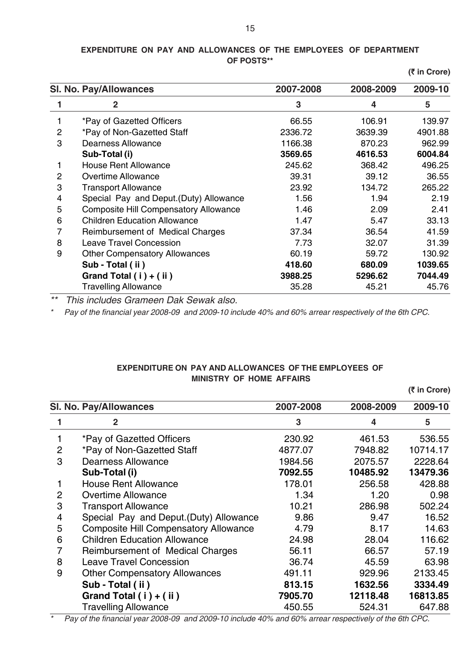### **EXPENDITURE ON PAY AND ALLOWANCES OF THE EMPLOYEES OF DEPARTMENT OF POSTS\*\***

**(**` **in Crore)**

|              | <b>SI. No. Pay/Allowances</b>                | 2007-2008 | 2008-2009 | 2009-10 |
|--------------|----------------------------------------------|-----------|-----------|---------|
|              | 2                                            | 3         | 4         | 5       |
|              | *Pay of Gazetted Officers                    | 66.55     | 106.91    | 139.97  |
| 2            | *Pay of Non-Gazetted Staff                   | 2336.72   | 3639.39   | 4901.88 |
| 3            | Dearness Allowance                           | 1166.38   | 870.23    | 962.99  |
|              | Sub-Total (i)                                | 3569.65   | 4616.53   | 6004.84 |
| 1            | <b>House Rent Allowance</b>                  | 245.62    | 368.42    | 496.25  |
| $\mathbf{2}$ | Overtime Allowance                           | 39.31     | 39.12     | 36.55   |
| 3            | <b>Transport Allowance</b>                   | 23.92     | 134.72    | 265.22  |
| 4            | Special Pay and Deput. (Duty) Allowance      | 1.56      | 1.94      | 2.19    |
| 5            | <b>Composite Hill Compensatory Allowance</b> | 1.46      | 2.09      | 2.41    |
| 6            | <b>Children Education Allowance</b>          | 1.47      | 5.47      | 33.13   |
| 7            | <b>Reimbursement of Medical Charges</b>      | 37.34     | 36.54     | 41.59   |
| 8            | <b>Leave Travel Concession</b>               | 7.73      | 32.07     | 31.39   |
| 9            | <b>Other Compensatory Allowances</b>         | 60.19     | 59.72     | 130.92  |
|              | Sub - Total (ii)                             | 418.60    | 680.09    | 1039.65 |
|              | Grand Total $(i) + (ii)$                     | 3988.25   | 5296.62   | 7044.49 |
|              | <b>Travelling Allowance</b>                  | 35.28     | 45.21     | 45.76   |

*\*\* This includes Grameen Dak Sewak also.*

*\* Pay of the financial year 2008-09 and 2009-10 include 40% and 60% arrear respectively of the 6th CPC.*

### **EXPENDITURE ON PAY AND ALLOWANCES OF THE EMPLOYEES OF MINISTRY OF HOME AFFAIRS**

|                |                                              |           |           | (₹ in Crore) |
|----------------|----------------------------------------------|-----------|-----------|--------------|
|                | <b>SI. No. Pay/Allowances</b>                | 2007-2008 | 2008-2009 | 2009-10      |
|                | $\mathbf{2}$                                 | 3         | 4         | 5            |
|                | *Pay of Gazetted Officers                    | 230.92    | 461.53    | 536.55       |
| 2              | *Pay of Non-Gazetted Staff                   | 4877.07   | 7948.82   | 10714.17     |
| 3              | Dearness Allowance                           | 1984.56   | 2075.57   | 2228.64      |
|                | Sub-Total (i)                                | 7092.55   | 10485.92  | 13479.36     |
|                | <b>House Rent Allowance</b>                  | 178.01    | 256.58    | 428.88       |
| 2              | <b>Overtime Allowance</b>                    | 1.34      | 1.20      | 0.98         |
| 3              | <b>Transport Allowance</b>                   | 10.21     | 286.98    | 502.24       |
| $\overline{4}$ | Special Pay and Deput. (Duty) Allowance      | 9.86      | 9.47      | 16.52        |
| 5              | <b>Composite Hill Compensatory Allowance</b> | 4.79      | 8.17      | 14.63        |
| 6              | <b>Children Education Allowance</b>          | 24.98     | 28.04     | 116.62       |
| 7              | Reimbursement of Medical Charges             | 56.11     | 66.57     | 57.19        |
| 8              | <b>Leave Travel Concession</b>               | 36.74     | 45.59     | 63.98        |
| 9              | <b>Other Compensatory Allowances</b>         | 491.11    | 929.96    | 2133.45      |
|                | Sub - Total (ii)                             | 813.15    | 1632.56   | 3334.49      |
|                | Grand Total (i) + (ii)                       | 7905.70   | 12118.48  | 16813.85     |
|                | <b>Travelling Allowance</b>                  | 450.55    | 524.31    | 647.88       |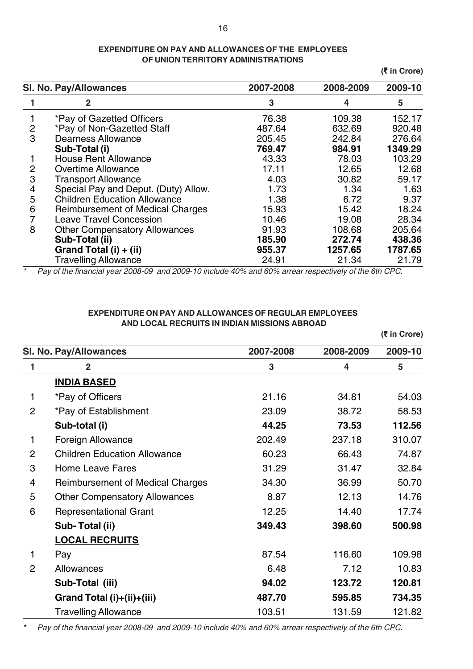### **EXPENDITURE ON PAY AND ALLOWANCES OF THE EMPLOYEES OF UNION TERRITORY ADMINISTRATIONS**

**(**` **in Crore)**

|                | SI. No. Pay/Allowances                  | 2007-2008 | 2008-2009 | 2009-10 |
|----------------|-----------------------------------------|-----------|-----------|---------|
|                | 2                                       | 3         | 4         | 5       |
|                | *Pay of Gazetted Officers               | 76.38     | 109.38    | 152.17  |
| $\overline{2}$ | *Pay of Non-Gazetted Staff              | 487.64    | 632.69    | 920.48  |
| 3              | <b>Dearness Allowance</b>               | 205.45    | 242.84    | 276.64  |
|                | Sub-Total (i)                           | 769.47    | 984.91    | 1349.29 |
|                | <b>House Rent Allowance</b>             | 43.33     | 78.03     | 103.29  |
| 2              | <b>Overtime Allowance</b>               | 17.11     | 12.65     | 12.68   |
| 3              | <b>Transport Allowance</b>              | 4.03      | 30.82     | 59.17   |
| 4              | Special Pay and Deput. (Duty) Allow.    | 1.73      | 1.34      | 1.63    |
| 5              | <b>Children Education Allowance</b>     | 1.38      | 6.72      | 9.37    |
| 6              | <b>Reimbursement of Medical Charges</b> | 15.93     | 15.42     | 18.24   |
|                | <b>Leave Travel Concession</b>          | 10.46     | 19.08     | 28.34   |
| 8              | <b>Other Compensatory Allowances</b>    | 91.93     | 108.68    | 205.64  |
|                | Sub-Total (ii)                          | 185.90    | 272.74    | 438.36  |
|                | Grand Total (i) + (ii)                  | 955.37    | 1257.65   | 1787.65 |
|                | <b>Travelling Allowance</b>             | 24.91     | 21.34     | 21.79   |

*\* Pay of the financial year 2008-09 and 2009-10 include 40% and 60% arrear respectively of the 6th CPC.*

### **EXPENDITURE ON PAY AND ALLOWANCES OF REGULAR EMPLOYEES AND LOCAL RECRUITS IN INDIAN MISSIONS ABROAD**

|                |                                         |           |           | (₹ in Crore) |
|----------------|-----------------------------------------|-----------|-----------|--------------|
|                | <b>SI. No. Pay/Allowances</b>           | 2007-2008 | 2008-2009 | 2009-10      |
| 1              | $\overline{2}$                          | 3         | 4         | 5            |
|                | <b>INDIA BASED</b>                      |           |           |              |
| 1              | *Pay of Officers                        | 21.16     | 34.81     | 54.03        |
| $\overline{2}$ | *Pay of Establishment                   | 23.09     | 38.72     | 58.53        |
|                | Sub-total (i)                           | 44.25     | 73.53     | 112.56       |
| 1              | Foreign Allowance                       | 202.49    | 237.18    | 310.07       |
| $\overline{2}$ | <b>Children Education Allowance</b>     | 60.23     | 66.43     | 74.87        |
| 3              | <b>Home Leave Fares</b>                 | 31.29     | 31.47     | 32.84        |
| $\overline{4}$ | <b>Reimbursement of Medical Charges</b> | 34.30     | 36.99     | 50.70        |
| 5              | <b>Other Compensatory Allowances</b>    | 8.87      | 12.13     | 14.76        |
| 6              | <b>Representational Grant</b>           | 12.25     | 14.40     | 17.74        |
|                | Sub-Total (ii)                          | 349.43    | 398.60    | 500.98       |
|                | <b>LOCAL RECRUITS</b>                   |           |           |              |
| 1              | Pay                                     | 87.54     | 116.60    | 109.98       |
| $\overline{2}$ | Allowances                              | 6.48      | 7.12      | 10.83        |
|                | Sub-Total (iii)                         | 94.02     | 123.72    | 120.81       |
|                | Grand Total (i)+(ii)+(iii)              | 487.70    | 595.85    | 734.35       |
|                | <b>Travelling Allowance</b>             | 103.51    | 131.59    | 121.82       |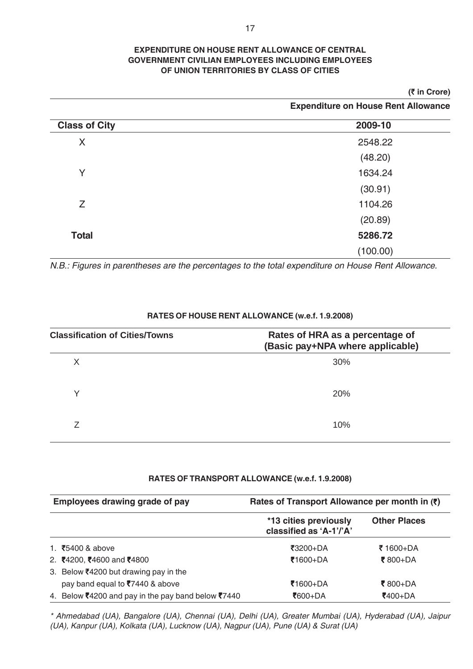### **EXPENDITURE ON HOUSE RENT ALLOWANCE OF CENTRAL GOVERNMENT CIVILIAN EMPLOYEES INCLUDING EMPLOYEES OF UNION TERRITORIES BY CLASS OF CITIES**

### **(**` **in Crore)**

 **Expenditure on House Rent Allowance**

| <b>Class of City</b> | 2009-10  |
|----------------------|----------|
| X                    | 2548.22  |
|                      | (48.20)  |
| Y                    | 1634.24  |
|                      | (30.91)  |
| Z                    | 1104.26  |
|                      | (20.89)  |
| <b>Total</b>         | 5286.72  |
|                      | (100.00) |

*N.B.: Figures in parentheses are the percentages to the total expenditure on House Rent Allowance.*

| <b>Classification of Cities/Towns</b> | Rates of HRA as a percentage of<br>(Basic pay+NPA where applicable) |
|---------------------------------------|---------------------------------------------------------------------|
| X                                     | 30%                                                                 |
| Υ                                     | 20%                                                                 |
|                                       | 10%                                                                 |

### **RATES OF HOUSE RENT ALLOWANCE (w.e.f. 1.9.2008)**

### **RATES OF TRANSPORT ALLOWANCE (w.e.f. 1.9.2008)**

| Employees drawing grade of pay                     | Rates of Transport Allowance per month in $(5)$  |                     |
|----------------------------------------------------|--------------------------------------------------|---------------------|
|                                                    | *13 cities previously<br>classified as 'A-1'/'A' | <b>Other Places</b> |
| 1. $\overline{5}$ 400 & above                      | ₹3200+DA                                         | ₹ 1600+DA           |
| 2. ₹4200, ₹4600 and ₹4800                          | ₹1600+DA                                         | ₹800+DA             |
| 3. Below ₹4200 but drawing pay in the              |                                                  |                     |
| pay band equal to ₹7440 & above                    | ₹1600+DA                                         | ₹800+DA             |
| 4. Below ₹4200 and pay in the pay band below ₹7440 | ₹600+DA                                          | ₹400+DA             |

*\* Ahmedabad (UA), Bangalore (UA), Chennai (UA), Delhi (UA), Greater Mumbai (UA), Hyderabad (UA), Jaipur (UA), Kanpur (UA), Kolkata (UA), Lucknow (UA), Nagpur (UA), Pune (UA) & Surat (UA)*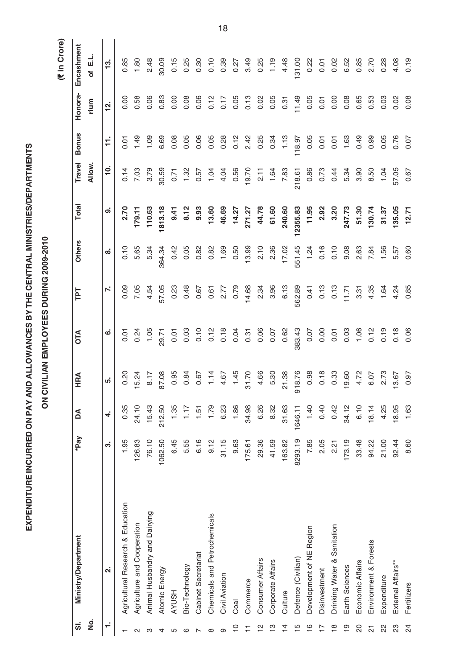# EXPENDITURE INCURRED ON PAY AND ALLOWANCES BY THE CENTRAL MINISTRIES/DEPARTMENTS **EXPENDITURE INCURRED ON PAY AND ALLOWANCES BY THE CENTRAL MINISTRIES/DEPARTMENTS**

ON CIVILIAN EMPLOYEES DURING 2009-2010 **ON CIVILIAN EMPLOYEES DURING 2009-2010**

(₹ in Crore)  **(**` **in Crore)**

| ຜ່             | <b>Ministry/Department</b>        | *Pay    | Å         | HRA    | OTA    | ΓPΤ    | <b>Others</b> | <b>Total</b> | Travel   | <b>Bonus</b> | Honora-   | Encashment |  |
|----------------|-----------------------------------|---------|-----------|--------|--------|--------|---------------|--------------|----------|--------------|-----------|------------|--|
| <u>ş</u>       |                                   |         |           |        |        |        |               |              | Allow.   |              | rium      | of E.L     |  |
| ÷              | $\overline{\mathbf{a}}$           | ຕ່      | $\vec{r}$ | ທ່     | ဖ      | r.     | ထ             | တ            | <u>0</u> | H            | <u>يہ</u> | <u>ლ</u>   |  |
|                | Agricultural Research & Education | 1.95    | 0.35      | 0.20   | 0.01   | 0.09   | 0.10          | 2.70         | 0.14     | 0.01         | 0.00      | 0.85       |  |
| $\sim$         | Agriculture and Cooperation       | 126.83  | 24.10     | 5.24   | 0.24   | 7.05   | 5.65          | 179.11       | 7.03     | 1.49         | 0.58      | 1.80       |  |
| ო              | Animal Husbandry and Dairying     | 76.10   | 15.43     | 8.17   | 1.05   | 4.54   | 5.34          | 110.63       | 3.79     | 1.09         | 0.06      | 2.48       |  |
| 4              | Atomic Energy                     | 1062.50 | 212.50    | 87.08  | 29.71  | 57.05  | 364.34        | 1813.18      | 30.59    | 6.69         | 0.83      | 30.09      |  |
| 5              | <b>AYUSH</b>                      | 6.45    | 1.35      | 0.95   | 0.01   | 0.23   | 0.42          | 9.41         | 0.71     | 0.08         | 0.00      | 0.15       |  |
| ဖ              | Bio-Technology                    | 5.55    | 1.17      | 0.84   | 0.03   | 0.48   | 0.05          | 8.12         | 1.32     | 0.05         | 0.08      | 0.25       |  |
| $\sim$         | Cabinet Secretariat               | 6.16    | 1.51      | 0.67   | 0.10   | 0.67   | 0.82          | 9.93         | 0.57     | 0.06         | 0.06      | 0.30       |  |
| $\infty$       | Chemicals and Petrochemicals      | 9.12    | 1.79      | 1.14   | 0.12   | 0.61   | 0.82          | 13.60        | 1.04     | 0.05         | 0.12      | 0.10       |  |
| တ              | Civil Aviation                    | 31.15   | 6.23      | 4.67   | 0.18   | 2.77   | 1.69          | 46.69        | 4.04     | 0.28         | 0.17      | 0.39       |  |
| $\overline{C}$ | Coal                              | 9.63    | 1.86      | 1.45   | 0.04   | 0.79   | 0.50          | 14.27        | 0.56     | 0.12         | 0.05      | 0.27       |  |
| Ξ              | Commerce                          | 175.61  | 34.98     | 31.70  | 0.31   | 14.68  | 13.99         | 271.27       | 19.70    | 2.42         | 0.13      | 3.49       |  |
| 얻              | Consumer Affairs                  | 29.36   | 6.26      | 4.66   | 0.06   | 2.34   | 2.10          | 44.78        | 2.11     | 0.25         | 0.02      | 0.25       |  |
| $\frac{1}{2}$  | Corporate Affairs                 | 41.59   | 8.32      | 5.30   | 0.07   | 3.96   | 2.36          | 61.60        | 1.64     | 0.34         | 0.05      | 1.19       |  |
| $\overline{4}$ | Culture                           | 163.82  | 31.63     | 21.38  | 0.62   | 6.13   | 17.02         | 240.60       | 7.83     | 1.13         | 0.31      | 4.48       |  |
| $\frac{15}{1}$ | Defence (Civilian)                | 8293.19 | 1646.11   | 918.76 | 383.43 | 562.89 | 551.45        | 12355.83     | 218.61   | 118.97       | 11.49     | 131.00     |  |
| $\frac{6}{1}$  | Development of NE Region          | 7.85    | 1.40      | 0.98   | 0.07   | 0.41   | 1.24          | 11.95        | 0.86     | 0.05         | 0.05      | 0.22       |  |
|                | Disinvestment                     | 2.05    | 0.40      | 0.18   | 0.00   | 0.13   | 0.16          | 2.92         | 0.73     | 0.01         | 0.01      | 0.01       |  |
| $\frac{8}{18}$ | Drinking Water & Sanitation       | 2.21    | 0.42      | 0.33   | 0.01   | 0.13   | 0.10          | 3.20         | 0.44     | 0.01         | 0.00      | 0.02       |  |
| $\frac{6}{1}$  | Earth Sciences                    | 173.19  | 34.12     | 19.60  | 0.03   | 11.71  | 9.08          | 247.73       | 5.34     | 1.63         | 0.08      | 6.52       |  |
| $\infty$       | Economic Affairs                  | 33.48   | 6.10      | 4.72   | 1.06   | 3.31   | 2.63          | 51.30        | 3.90     | 0.49         | 0.65      | 0.85       |  |
| 24             | Environment & Forests             | 94.22   | 18.14     | 6.07   | 0.12   | 4.35   | 7.84          | 130.74       | 8.50     | 0.99         | 0.53      | 2.70       |  |
| 22             | Expenditure                       | 21.00   | 4.25      | 2.73   | 0.19   | 1.64   | 1.56          | 31.37        | 1.04     | 0.05         | 0.03      | 0.28       |  |
| 33             | External Affairs**                | 92.44   | 18.95     | 13.67  | 0.18   | 4.24   | 5.57          | 135.05       | 57.05    | 0.76         | 0.02      | 4.08       |  |
| $\overline{2}$ | Fertilizers                       | 8.60    | 1.63      | 0.97   | 0.06   | 0.85   | 0.60          | 12.71        | 0.67     | 0.07         | 0.08      | 0.19       |  |

18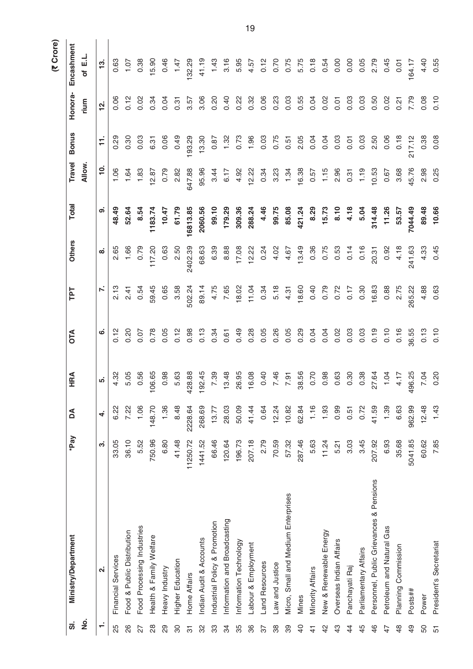|                |                                         |          |         |                        |       |        |               |          |               |                |              | (₹ Crore)  |  |
|----------------|-----------------------------------------|----------|---------|------------------------|-------|--------|---------------|----------|---------------|----------------|--------------|------------|--|
| $\dot{a}$      | <b>Ministry/Department</b>              | *Pay     | Å       | HRA                    | ОTA   | TPT    | <b>Others</b> | Total    | Travel        | <b>Bonus</b>   | Honora-      | Encashment |  |
| <u>o</u><br>Z  |                                         |          |         |                        |       |        |               |          | Allow.        |                | rium         | of E.L     |  |
| ÷              | $\mathbf{a}$                            | က        | 4       |                        | ဖ     | N      | ထ             | ၜ        | $\frac{1}{2}$ | $\overline{1}$ | $\mathbf{z}$ | <u>ಇ</u>   |  |
| 25             | Financial Services                      | 33.05    | 6.22    | 4.32                   | 0.12  | 2.13   | 2.65          | 48.49    | 1.06          | 0.29           | 0.06         | 0.63       |  |
| 26             | Food & Public Distribution              | 36.10    | 7.22    | 5.05                   | 0.20  | 2.41   | 1.66          | 52.64    | 1.64          | 0.30           | 0.12         | 1.07       |  |
| 27             | Food Processing Industries              | 5.52     | 1.06    | 0.56                   | 0.07  | 0.54   | 0.79          | 8.54     | 1.83          | 0.03           | 0.02         | 0.38       |  |
| $\frac{8}{2}$  | Health & Family Welfare                 | 750.96   | 148.70  | 106.65                 | 0.78  | 59.45  | 117.20        | 1183.74  | 12.87         | 6.31           | 0.34         | 15.90      |  |
| 29             | Heavy Industry                          | 6.80     | 1.36    | 0.98                   | 0.05  | 0.65   | 0.63          | 10.47    | 0.79          | 0.06           | 0.04         | 0.46       |  |
| 80             | Higher Education                        | 41.48    | 8.48    | 5.63                   | 0.12  | 3.58   | 2.50          | 61.79    | 2.82          | 0.49           | 0.31         | 1.47       |  |
| $\overline{5}$ | Home Affairs                            | 11250.72 | 2228.64 | 428.88                 | 0.98  | 502.24 | 2402.39       | 16813.85 | 647.88        | 93.29          | 3.57         | 132.29     |  |
| 32             | Indian Audit & Accounts                 | 1441.52  | 268.69  | 192.45                 | 0.13  | 89.14  | 68.63         | 2060.56  | 95.96         | 13.30          | 3.06         | 41.19      |  |
| 33             | Industrial Policy & Promotion           | 66.46    | 13.77   | 7.39                   | 0.34  | 4.75   | 6.39          | 99.10    | 3.44          | 0.87           | 0.20         | 1.43       |  |
| 34             | Information and Broadcasting            | 120.64   | 28.03   | 13.48                  | 0.61  | 7.65   | 8.88          | 179.29   | 6.17          | 1.32           | 0.40         | 3.16       |  |
| 35             | Information Technology                  | 196.73   | 50.09   | 26.95                  | 0.49  | 18.02  | 17.08         | 309.36   | 4.92          | 0.73           | 0.22         | 5.95       |  |
| 86             | Labour & Employment                     | 207.18   | 41.44   | 16.08                  | 0.28  | 11.04  | 12.22         | 288.24   | 12.22         | 1.96           | 0.32         | 4.57       |  |
| 57             | Land Resources                          | 2.79     | 0.64    | 0.40                   | 0.05  | 0.34   | 0.24          | 4.46     | 0.34          | 0.03           | 0.06         | 0.12       |  |
| 38             | Law and Justice                         | 70.59    | 12.24   | 7.46                   | 0.26  | 5.18   | 4.02          | 99.75    | 3.23          | 0.75           | 0.23         | 0.70       |  |
| 39             | Micro, Small and Medium Enterprises     | 57.32    | 10.82   | 7.91                   | 0.05  | 4.31   | 4.67          | 85.08    | 1.34          | 0.51           | 0.03         | 0.75       |  |
| $\overline{4}$ | Mines                                   | 287.46   | 62.84   | 38.56                  | 0.29  | 18.60  | 13.49         | 421.24   | 16.38         | 2.05           | 0.55         | 5.75       |  |
| $\frac{4}{5}$  | Minority Affairs                        | 5.63     | 1.16    | 0.70                   | 0.04  | 0.40   | 0.36          | 8.29     | 0.57          | 0.04           | 0.04         | 0.18       |  |
| 42             | New & Renewable Energy                  | 11.24    | 1.93    | 0.98                   | 0.04  | 0.79   | 0.75          | 15.73    | 1.15          | 0.04           | 0.02         | 0.54       |  |
| $\frac{3}{4}$  | Overseas Indian Affairs                 | 5.21     | 0.99    | 0.63                   | 0.02  | 0.72   | 0.53          | 8.10     | 2.96          | 0.03           | 0.01         | 0.00       |  |
| $\overline{4}$ | Panchayati Raj                          | 3.03     | 0.51    | 0.30                   | 0.03  | 0.17   | 0.14          | 4.18     | 0.31          | 0.01           | 0.03         | 0.00       |  |
| 45             | Parliamentary Affairs                   | 3.45     | 0.72    | 0.38                   | 0.03  | 0.30   | 0.16          | 5.04     | 1.19          | 0.03           | 0.03         | 0.05       |  |
| $\frac{6}{4}$  | Personnel, Public Grievances & Pensions | 207.92   | 41.59   | 27.64                  | 0.19  | 16.83  | 20.31         | 314.48   | 10.53         | 2.50           | 0.50         | 2.79       |  |
| 47             | Petroleum and Natural Gas               | 6.93     | 1.39    | 1.04                   | 0.10  | 0.88   | 0.92          | 11.26    | 0.67          | 0.06           | 0.02         | 0.45       |  |
| $\frac{8}{4}$  | Planning Commission                     | 35.68    | 6.63    | 4.17                   | 0.16  | 2.75   | 4.18          | 53.57    | 3.68          | 0.18           | 0.21         | 0.01       |  |
| $\frac{9}{4}$  | Posts##                                 | 5041.85  | 962.99  | 96.25<br>$\frac{6}{4}$ | 36.55 | 265.22 | 241.63        | 7044.49  | 45.76         | 217.12         | 7.79         | 64.17      |  |
| 50             | Power                                   | 60.62    | 12.48   | 7.04                   | 0.13  | 4.88   | 4.33          | 89.48    | 2.98          | 0.38           | 0.08         | 4.40       |  |
| 57             | President's Secretariat                 | 7.85     | 1.43    | 0.20                   | 0.10  | 0.63   | 0.45          | 10.66    | 0.25          | 0.08           | 0.10         | 0.55       |  |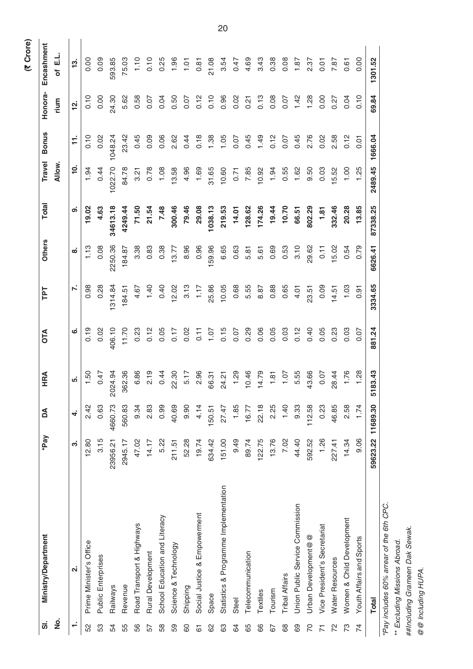| $\dot{\bar{\bf{v}}}$ | <b>Ministry/Department</b>               | *Pay     | Å        | HRA          | OTA    | <b>Ld1</b> | <b>Others</b> | <b>Total</b> | Travel        | <b>Bonus</b>   | Honora-   | Encashment |
|----------------------|------------------------------------------|----------|----------|--------------|--------|------------|---------------|--------------|---------------|----------------|-----------|------------|
| <u>ş</u>             |                                          |          |          |              |        |            |               |              | Allow.        |                | rium      | 급<br>ð     |
|                      | $\overline{\mathbf{r}}$                  | ຕ່       | 4        | ທ່           | ဖ      | Ϋ́,        | ထ             | ၜ            | $\frac{1}{2}$ | $\overline{1}$ | <u>يہ</u> | <u>ကို</u> |
| SS                   | Prime Minister's Office                  | 12.80    | 2.42     | 1.50         | 0.19   | 0.98       | 1.13          | 19.02        | 1.94          | 0.10           | 0.10      | 0.00       |
| 53                   | Public Enterprises                       | 3.15     | 0.63     | 0.47         | 0.02   | 0.28       | 0.08          | 4.63         | 0.44          | 0.02           | 0.00      | 0.09       |
| 54                   | Railways                                 | 23956.21 | 4660.73  | 2024.94      | 406.10 | 1314.84    | 2250.36       | 34613.18     | 1022.70       | 1048.24        | 24.30     | 593.85     |
| 55                   | Revenue                                  | 2945.17  | 560.83   | 362.36       | 11.70  | 184.51     | 184.87        | 4249.44      | 84.78         | 23.42          | 5.62      | 75.03      |
| 56                   | Road Transport & Highways                | 47.02    | 9.34     | 6.86         | 0.23   | 4.67       | 3.38          | 71.50        | 3.21          | 0.45           | 0.58      | 1.10       |
| 57                   | Rural Development                        | 14.17    | 2.83     | 2.19         | 0.12   | 1.40       | 0.83          | 21.54        | 0.78          | 0.09           | 0.07      | 0.10       |
| 58                   | School Education and Literacy            | 5.22     | 0.99     | 0.44         | 0.05   | 0.40       | 0.38          | 7.48         | 1.08          | 0.06           | 0.04      | 0.25       |
| 59                   | Science & Technology                     | 211.51   | 40.69    | 22.30        | 0.17   | 12.02      | 13.77         | 300.46       | 13.58         | 2.62           | 0.50      | 1.96       |
| 60                   | Shipping                                 | 52.28    | 0.90     | 5.17         | 0.02   | 3.13       | 8.96          | 79.46        | 4.96          | 0.44           | 0.07      | 1.01       |
| 61                   | Social Justice & Empowerment             | 19.74    | 4.14     | 2.96         | 0.11   | 1.17       | 0.96          | 29.08        | 1.69          | 0.18           | 0.12      | 0.81       |
| 8                    | Space                                    | 634.42   | 150.51   | 66.31        | 1.07   | 25.86      | 159.96        | 1038.13      | 31.65         | 1.38           | 0.10      | 21.08      |
| යි                   | Statistics & Programme Implementation    | 151.00   | 27.47    | 24.21        | 0.15   | 10.05      | 6.65          | 219.53       | 10.60         | 1.05           | 0.96      | 3.54       |
| 3                    | Steel                                    | 9.49     | 1.85     | 1.29         | 0.07   | 0.68       | 0.63          | 14.01        | 0.71          | 0.07           | 0.02      | 0.47       |
| 65                   | Telecommunication                        | 89.74    | 16.77    | 10.46        | 0.29   | 5.55       | 5.81          | 128.62       | 7.85          | 0.45           | 0.21      | 4.69       |
| 66                   | Textiles                                 | 122.75   | 22.18    | 14.79        | 0.06   | 8.87       | 5.61          | 174.26       | 10.92         | 1.49           | 0.13      | 3.43       |
| 67                   | Tourism                                  | 13.76    | 2.25     | 1.81         | 0.05   | 0.88       | 0.69          | 19.44        | 1.94          | 0.12           | 0.08      | 0.38       |
| 89                   | <b>Tribal Affairs</b>                    | 7.02     | 1.40     | 1.07         | 0.03   | 0.65       | 0.53          | 10.70        | 0.55          | 0.07           | 0.07      | 0.08       |
| 89                   | Union Public Service Commission          | 44.40    | 9.33     | 5.55         | 0.12   | 4.01       | 3.10          | 66.51        | 1.62          | 0.45           | 1.42      | 1.87       |
| 20                   | Urban Development@@                      | 592.52   | 112.58   | 43.66        | 0.40   | 23.51      | 29.62         | 802.29       | 9.50          | 2.76           | 1.28      | 2.37       |
|                      | Vice President's Secretariat             | 1.26     | 0.23     | 0.07         | 0.05   | 0.09       | 0.11          | 1.81         | 0.03          | 0.02           | 0.00      | 0.01       |
| 22                   | Water Resources                          | 227.41   | 46.85    | 28.44        | 0.23   | 14.51      | 15.02         | 332.46       | 15.52         | 2.58           | 0.27      | 7.87       |
| 73                   | Women & Child Development                | 14.34    | 2.58     | 1.76         | 0.03   | 1.03       | 0.54          | 20.28        | 1.00          | 0.12           | 0.04      | 0.61       |
| 74                   | Youth Affairs and Sports                 | 9.06     | 1.74     | 1.28         | 0.07   | 0.91       | 0.79          | 13.85        | 1.25          | 0.01           | 0.10      | 0.00       |
|                      | <b>Total</b>                             | 59623.22 | 11689.30 | 183.43<br>Ĺ۵ | 881.24 | 3334.65    | 6626.41       | 87338.25     | 2489.45       | 1666.04        | 69.84     | 1301.52    |
|                      | "Pay includes 60% arrear of the 6th CPC. |          |          |              |        |            |               |              |               |                |           |            |
|                      | ** Excluding Missions Abroad.            |          |          |              |        |            |               |              |               |                |           |            |
|                      | Acrip Atl Manuel Anipily Alit            |          |          |              |        |            |               |              |               |                |           |            |

##Including Grameen Dak Sewak. *##Including Grameen Dak Sewak.*

@ @ Including HUPA. *@@ Including HUPA.*

20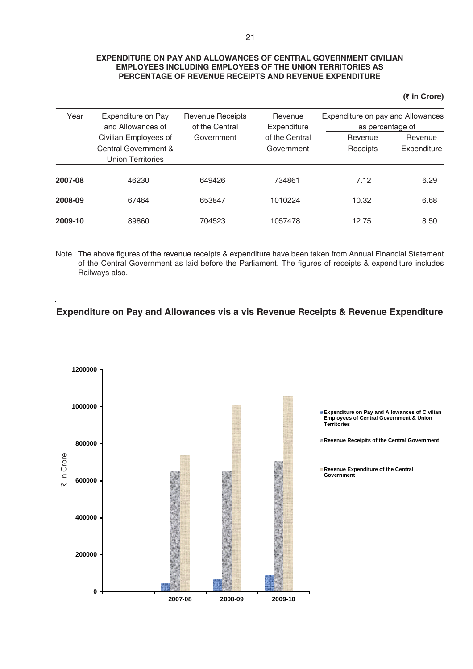### **EXPENDITURE ON PAY AND ALLOWANCES OF CENTRAL GOVERNMENT CIVILIAN EMPLOYEES INCLUDING EMPLOYEES OF THE UNION TERRITORIES AS PERCENTAGE OF REVENUE RECEIPTS AND REVENUE EXPENDITURE**

**(**` **in Crore)**

| Year    | Expenditure on Pay<br>and Allowances of                            | <b>Revenue Receipts</b><br>of the Central | Revenue<br>Expenditure       | Expenditure on pay and Allowances<br>as percentage of |                        |
|---------|--------------------------------------------------------------------|-------------------------------------------|------------------------------|-------------------------------------------------------|------------------------|
|         | Civilian Employees of<br>Central Government &<br>Union Territories | Government                                | of the Central<br>Government | Revenue<br>Receipts                                   | Revenue<br>Expenditure |
| 2007-08 | 46230                                                              | 649426                                    | 734861                       | 7.12                                                  | 6.29                   |
| 2008-09 | 67464                                                              | 653847                                    | 1010224                      | 10.32                                                 | 6.68                   |
| 2009-10 | 89860                                                              | 704523                                    | 1057478                      | 12.75                                                 | 8.50                   |

Note : The above figures of the revenue receipts & expenditure have been taken from Annual Financial Statement of the Central Government as laid before the Parliament. The figures of receipts & expenditure includes Railways also.

### **Expenditure on Pay and Allowances vis a vis Revenue Receipts & Revenue Expenditure**

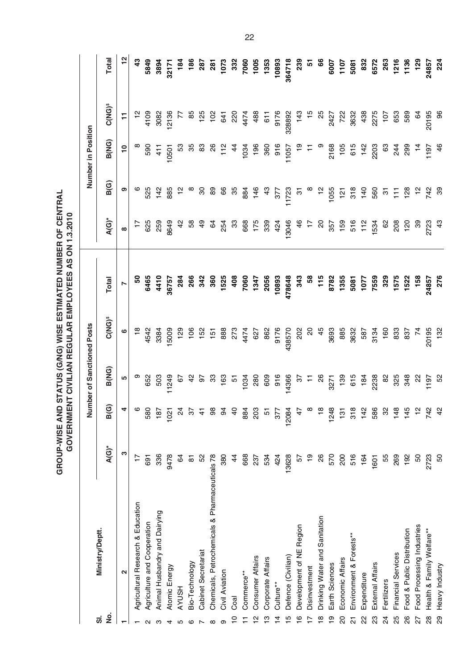GROUP-WISE AND STATUS (G/NG) WISE ESTIMATED NUMBER OF CENTRAL **GROUP-WISE AND STATUS (G/NG) WISE ESTIMATED NUMBER OF CENTRAL** GOVERNMENT CIVILIAN REGULAR EMPLOYEES AS ON 1.3.2010 **GOVERNMENT CIVILIAN REGULAR EMPLOYEES AS ON 1.3.2010**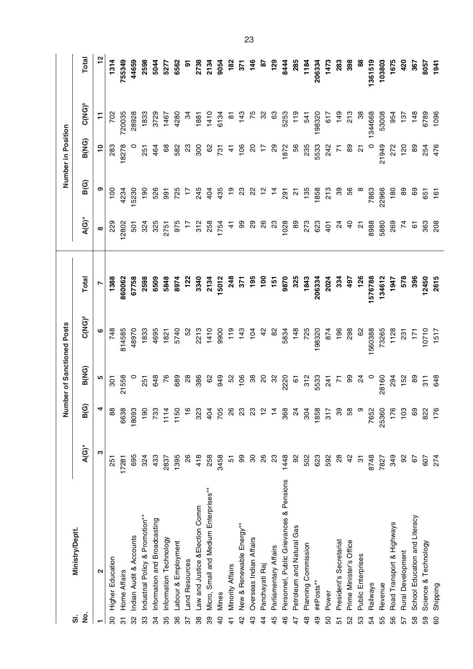| <u>ູ່</u> ທີ່                           |                |                |               | Number of Sanctioned Posts |         |                 |                | Number in Position |                          |                |
|-----------------------------------------|----------------|----------------|---------------|----------------------------|---------|-----------------|----------------|--------------------|--------------------------|----------------|
| Ministry/Deptt.<br>ġ                    | $A(G)^*$       | ම<br>ă         | B(NG)         | <b>C(NG)<sup>s</sup></b>   | Total   | $A(G)^*$        | B(G)           | B(NG)              | <b>C(NG)<sup>s</sup></b> | <b>Total</b>   |
| $\mathbf{\Omega}$                       | ო              | 4              | Ю             | ဖ                          | N       | $\infty$        | თ              | $\overline{10}$    | Ξ                        | $\frac{2}{3}$  |
| Higher Education                        | 251            | $\frac{8}{3}$  | 301           | 748                        | 1388    | 229             | $\frac{8}{1}$  | 283                | 20Z                      | 1314           |
| Home Affairs                            | 17281          | 6638           | 21558         | 814585                     | 860062  | 12802           | 4234           | 18278              | 720035                   | 755349         |
| Indian Audit & Accounts                 | 695            | 18093          |               | 48970                      | 67758   | 501             | 5230           |                    | 28928                    | 44659          |
| ndustrial Policy & Promotion**          | 324            | $\frac{1}{90}$ | 251           | 1833                       | 2598    | 324             | $\frac{8}{2}$  | 251                | 1833                     | 2598           |
| nformation and Broadcasting             | 433            | 733            | 648           | 4695                       | 6509    | 325             | 526            | 464                | 3729                     | 5044           |
| nformation Technology                   | 2837           | 1114           | 76            | 1821                       | 5848    | 2751            | 991            | 89                 | 1467                     | 5277           |
| abour & Employment                      | 1395           | 1150           | 689           | 5740                       | 8974    | 975             | 725            | 582                | 4280                     | 6562           |
| and Resources                           | 26             | $\frac{6}{1}$  | $^{28}$       | 5                          | 122     | $\overline{a}$  | $\ddot{=}$     | $\mathbb{S}^3$     | \$                       | <u>ნ</u>       |
| aw and Justice & Election Comm          | 418            | $\tilde{3}$    | 386           | 2213                       | 3340    | 312             | 245            | 300                | 1881                     | 2738           |
| Micro, Small and Medium Enterprises**   | 258            | $\frac{6}{4}$  | 8             | 1410                       | 2134    | 258             | 404            | 8                  | 1410                     | 2134           |
| Mines                                   | 3458           | ğ              | 949           | 9900                       | 15012   | 1754            | 435            | 731                | 6134                     | 9054           |
| Minority Affairs                        | 5              | <u>କ</u>       | 52            | 119                        | 248     | $\frac{1}{4}$   | <u>ဝှ</u>      | $\ddot{4}$         | <u>ន</u>                 | 182            |
| New & Renewable Energy**                | 99             | ಔ              | 106           | 143                        | 371     | ဓ္တ             | $\mathbf{S}$   | 106                | 143                      | 371            |
| Overseas Indian Affairs                 | 80             | ଧି             | 38            | 104                        | 195     | $\overline{29}$ | 22             | 20                 | 75                       | 146            |
| Panchayati Raj                          | $\frac{8}{2}$  | $\frac{a}{b}$  | S             | $\frac{2}{3}$              | 100     | $\frac{8}{2}$   | $\frac{1}{2}$  | 17                 | 8                        | 5              |
| Parliamentary Affairs                   | $\mathbb{S}^2$ | $\frac{6}{10}$ | 32            | 8                          | 151     | 23              | $\dot{z}$      | 8                  | යි                       | $\frac{29}{2}$ |
| Personnel, Public Grievances & Pensions | 1448           | 368            | 2220          | 5834                       | 9870    | 1028            | $\overline{5}$ | 1872               | 5253                     | 8444           |
| Petroleum and Natural Gas               | 92             | $\alpha$       | 67            | 148                        | 325     | 89              | <u> 인</u>      | 56                 | $\frac{9}{11}$           | 285            |
| Planning Commission                     | 502            | $\frac{6}{30}$ | 312           | 725                        | 1843    | 273             | 135            | 235                | 541                      | 1184           |
| ##Posts**                               | 623            | 1858           | 5533          | 98320                      | 206334  | 623             | 1858           | 5533               | 198320                   | 206334         |
| Power                                   | 592            | 31             | 241           | 874                        | 2024    | 401             | <b>213</b>     | 242                | 617                      | 1473           |
| President's Secretariat                 | $\frac{8}{2}$  | რ              | Ν             | 196                        | 334     | 24              | ႙              | $\overline{5}$     | 149                      | 283            |
| Prime Minister's Office                 | $\frac{2}{3}$  | 5g             | 99            | 298                        | 497     | $\frac{1}{2}$   | 56             | 8                  | 213                      | 398            |
| Public Enterprises                      | $\overline{5}$ |                | $\frac{4}{3}$ | 8                          | 126     | 21              |                | 21                 | 38                       | $\frac{8}{3}$  |
| Railways                                | 8748           | 7652           | $\circ$       | 1560388                    | 1576788 | 8988            | 7863           | $\circ$            | 1344668                  | 1361519        |
| Revenue                                 | 7827           | 25360          | 28160         | 73265                      | 134612  | 5880            | 22966          | 21949              | 53008                    | 103803         |
| Road Transport & Highways               | 349            | 176            | 294           | 1128                       | 1947    | 269             | 180            | 272                | 954                      | 1675           |
| <b>Rural Development</b>                | 8              | $\frac{2}{3}$  | 152           | $\overline{23}$            | 578     | $\overline{7}$  | 89             | 120                | 137                      | 420            |
| School Education and Literacy           | 67             | 8              | 8             | $\overline{17}$            | 396     | 67              | 89             | 8                  | 148                      | 367            |
| Science & Technology                    | 607            | 822            | $\frac{1}{3}$ | 10710                      | 12450   | 363             | 651            | 254                | 6789                     | 8057           |
| Shipping                                | 274            | 176            | 648           | 1517                       | 2615    | $\frac{8}{2}$   | 161            | 476                | 1096                     | 1941           |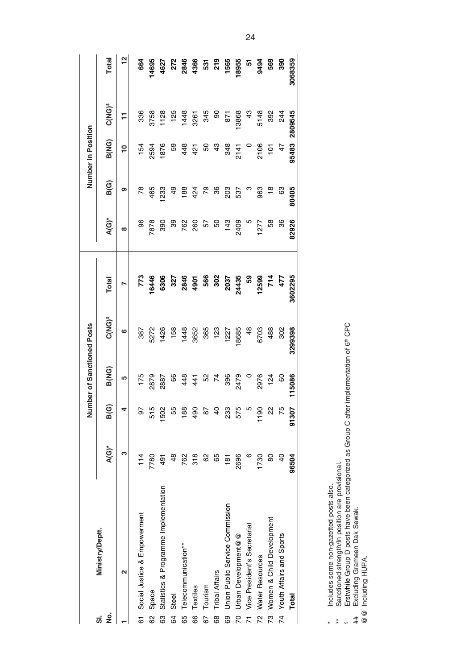|                |                                       |                |               |        | Number of Sanctioned Posts |         |          |               | Number in Position |                          |               |
|----------------|---------------------------------------|----------------|---------------|--------|----------------------------|---------|----------|---------------|--------------------|--------------------------|---------------|
| ġ<br>ຜ່        | Ministry/Deptt.                       | $A(G)^*$       | B(G)          | B(NG)  | <b>C(NG)<sup>s</sup></b>   | Total   | $A(G)^*$ | B(G)          | B(NG)              | <b>C(NG)<sup>s</sup></b> | Total         |
|                | ຼ                                     | ო              |               | 5      | ဖ                          | r       | $\infty$ | თ             | $\overline{10}$    | $\overline{1}$           | $\frac{2}{3}$ |
|                | 61 Social Justice & Empowerment       | 114            | 5             | 175    | 387                        | 773     | 96       | 78            | 154                | 336                      | 664           |
| 8              | Space                                 | 7780           | 515           | 2879   | 5272                       | 6446    | 7878     | 465           | 2594               | 3758                     | 4695          |
| 3              | Statistics & Programme Implementation | 491            | 1502          | 2887   | 1426                       | 6306    | 390      | <b>233</b>    | 1876               | 1128                     | 4627          |
| 34             | Steel                                 | $\frac{8}{4}$  | 55            | 8      | 158                        | 327     | 89       | $\frac{6}{7}$ | 53                 | 125                      | 272           |
| 65             | Telecommunication**                   | 762            | 188           | 448    | 1448                       | 2846    | 762      | 188           | 448                | 1448                     | 2846          |
| 66             | Textiles                              | 318            | $\frac{6}{2}$ | 441    | 3652                       | 4901    | 260      | 424           | 421                | 3261                     | 4366          |
| 67             | Tourism                               | 8              | 5s            | SS     | 365                        | 566     | 57       | 79            | 50                 | 345                      | 531           |
| 89             | <b>Tribal Affairs</b>                 | 65             | ទ             | 74     | 123                        | 302     | 50       | 36            | $\frac{3}{2}$      | $\frac{8}{2}$            | 219           |
| 69             | Union Public Service Commission       | $\frac{18}{1}$ | 233           | 396    | 1227                       | 2037    | 143      | 203           | 348                | <b>B71</b>               | 1565          |
| g              | Urban Development@@                   | 2696           | 575           | 2479   | 8685                       | 24435   | 2409     | 537           | 2141               | 13868                    | 18955         |
| $\overline{z}$ | Vice President's Secretariat          | ဖ              |               |        | $\frac{8}{3}$              | င္ဟာ    | Ю        | ო             | $\circ$            | 43                       | 5             |
| <u>ռ</u>       | Water Resources                       | 1730           | 1190          | 2976   | 6703                       | 2599    | 1277     | 963           | 2106               | 5148                     | 9494          |
|                | 73 Women & Child Development          | 80             | ଧ୍ୟ           | 124    | 488                        | 714     | 58       | $\frac{8}{1}$ | ë                  | 392                      | 569           |
|                | 74 Youth Affairs and Sports           | $\overline{a}$ | 75            | 60     | 302                        | 477     | 36       | 63            | $\frac{4}{7}$      | 244                      | 390           |
|                | Total                                 | 96504          | 91307         | 115086 | 3299398                    | 3602295 | 82926    | 80405         | 95483              | 2809545                  | 3068359       |
|                |                                       |                |               |        |                            |         |          |               |                    |                          |               |

\* Includes some non-gazetted posts also.

\*\* Sanctioned strength/In position are provisional.

\* Includes some non-gazetted posts also.<br>\*\* Sanctioned strength/In position are provisional.<br>\$ Erstwhile Group D posts have been categorized as Group C after implementation of 6th CPC<br>## Excluding Grameen Dak Sewak.<br>@@ Inc Erstwhile Group D posts have been categorized as Group C after implementation of 6th CPC

## Excluding Grameen Dak Sewak.

@@ Including HUPA.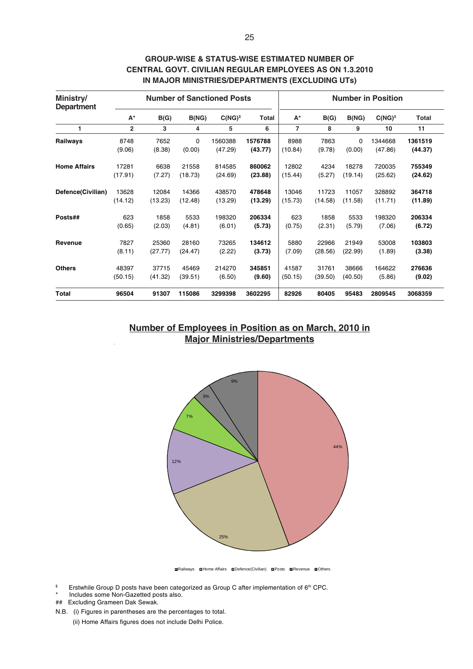| Ministry/<br><b>Department</b> |                |         |             | <b>Number of Sanctioned Posts</b> |         |                |         |         | <b>Number in Position</b> |         |
|--------------------------------|----------------|---------|-------------|-----------------------------------|---------|----------------|---------|---------|---------------------------|---------|
|                                | $A^*$          | B(G)    | B(NG)       | $C(NG)^s$                         | Total   | $A^*$          | B(G)    | B(NG)   | $C(NG)^s$                 | Total   |
| 1                              | $\overline{2}$ | 3       | 4           | 5                                 | 6       | $\overline{7}$ | 8       | 9       | 10                        | 11      |
| Railways                       | 8748           | 7652    | $\mathbf 0$ | 1560388                           | 1576788 | 8988           | 7863    | 0       | 1344668                   | 1361519 |
|                                | (9.06)         | (8.38)  | (0.00)      | (47.29)                           | (43.77) | (10.84)        | (9.78)  | (0.00)  | (47.86)                   | (44.37) |
| <b>Home Affairs</b>            | 17281          | 6638    | 21558       | 814585                            | 860062  | 12802          | 4234    | 18278   | 720035                    | 755349  |
|                                | (17.91)        | (7.27)  | (18.73)     | (24.69)                           | (23.88) | (15.44)        | (5.27)  | (19.14) | (25.62)                   | (24.62) |
| Defence(Civilian)              | 13628          | 12084   | 14366       | 438570                            | 478648  | 13046          | 11723   | 11057   | 328892                    | 364718  |
|                                | (14.12)        | (13.23) | (12.48)     | (13.29)                           | (13.29) | (15.73)        | (14.58) | (11.58) | (11.71)                   | (11.89) |
| Posts##                        | 623            | 1858    | 5533        | 198320                            | 206334  | 623            | 1858    | 5533    | 198320                    | 206334  |
|                                | (0.65)         | (2.03)  | (4.81)      | (6.01)                            | (5.73)  | (0.75)         | (2.31)  | (5.79)  | (7.06)                    | (6.72)  |
| Revenue                        | 7827           | 25360   | 28160       | 73265                             | 134612  | 5880           | 22966   | 21949   | 53008                     | 103803  |
|                                | (8.11)         | (27.77) | (24.47)     | (2.22)                            | (3.73)  | (7.09)         | (28.56) | (22.99) | (1.89)                    | (3.38)  |
| <b>Others</b>                  | 48397          | 37715   | 45469       | 214270                            | 345851  | 41587          | 31761   | 38666   | 164622                    | 276636  |
|                                | (50.15)        | (41.32) | (39.51)     | (6.50)                            | (9.60)  | (50.15)        | (39.50) | (40.50) | (5.86)                    | (9.02)  |
| Total                          | 96504          | 91307   | 115086      | 3299398                           | 3602295 | 82926          | 80405   | 95483   | 2809545                   | 3068359 |

### **GROUP-WISE & STATUS-WISE ESTIMATED NUMBER OF CENTRAL GOVT. CIVILIAN REGULAR EMPLOYEES AS ON 1.3.2010 IN MAJOR MINISTRIES/DEPARTMENTS (EXCLUDING UTs)**

**Number of Employees in Position as on March, 2010 in Major Ministries/Departments**



Railways Home Affairs Defence(Civilian) Posts Revenue Others

- <sup>\$</sup> Erstwhile Group D posts have been categorized as Group C after implementation of 6<sup>th</sup> CPC.
- Includes some Non-Gazetted posts also.
- ## Excluding Grameen Dak Sewak.
- N.B. (i) Figures in parentheses are the percentages to total.

(ii) Home Affairs figures does not include Delhi Police.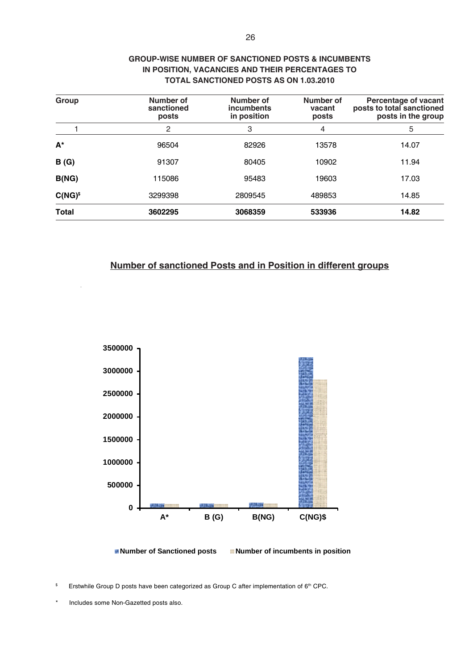| Group        | Number of<br>sanctioned<br>posts | Number of<br>incumbents<br>in position | Number of<br>vacant<br>posts | <b>Percentage of vacant</b><br>posts to total sanctioned<br>posts in the group |
|--------------|----------------------------------|----------------------------------------|------------------------------|--------------------------------------------------------------------------------|
|              | $\overline{2}$                   | 3                                      | 4                            | 5                                                                              |
| $A^*$        | 96504                            | 82926                                  | 13578                        | 14.07                                                                          |
| B(G)         | 91307                            | 80405                                  | 10902                        | 11.94                                                                          |
| B(NG)        | 115086                           | 95483                                  | 19603                        | 17.03                                                                          |
| $C(NG)^s$    | 3299398                          | 2809545                                | 489853                       | 14.85                                                                          |
| <b>Total</b> | 3602295                          | 3068359                                | 533936                       | 14.82                                                                          |

### **GROUP-WISE NUMBER OF SANCTIONED POSTS & INCUMBENTS IN POSITION, VACANCIES AND THEIR PERCENTAGES TO TOTAL SANCTIONED POSTS AS ON 1.03.2010**

### **Number of sanctioned Posts and in Position in different groups**



**Number of Sanctioned posts Number of incumbents in position**

\$ Erstwhile Group D posts have been categorized as Group C after implementation of 6<sup>th</sup> CPC.

Includes some Non-Gazetted posts also.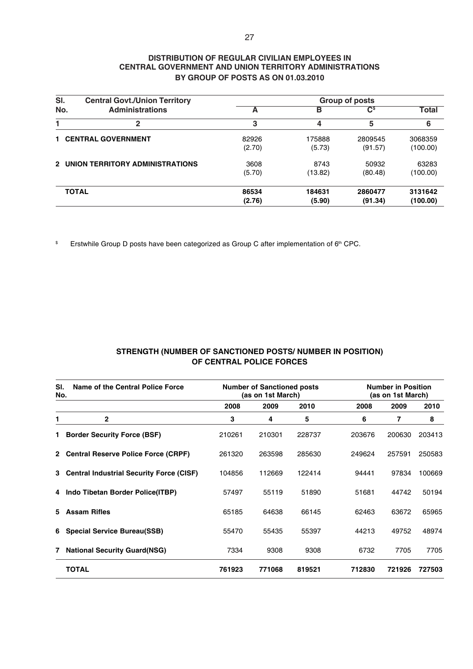### **DISTRIBUTION OF REGULAR CIVILIAN EMPLOYEES IN CENTRAL GOVERNMENT AND UNION TERRITORY ADMINISTRATIONS BY GROUP OF POSTS AS ON 01.03.2010**

| SI. | <b>Central Govt./Union Territory</b> |        |         | Group of posts            |          |
|-----|--------------------------------------|--------|---------|---------------------------|----------|
| No. | <b>Administrations</b>               | A      | в       | $\mathbf{C}^{\mathsf{s}}$ | Total    |
|     | 2                                    | 3      | 4       | 5                         | 6        |
|     | <b>1 CENTRAL GOVERNMENT</b>          | 82926  | 175888  | 2809545                   | 3068359  |
|     |                                      | (2.70) | (5.73)  | (91.57)                   | (100.00) |
|     | 2 UNION TERRITORY ADMINISTRATIONS    | 3608   | 8743    | 50932                     | 63283    |
|     |                                      | (5.70) | (13.82) | (80.48)                   | (100.00) |
|     | <b>TOTAL</b>                         | 86534  | 184631  | 2860477                   | 3131642  |
|     |                                      | (2.76) | (5.90)  | (91.34)                   | (100.00) |

 $\mathbb S$ Erstwhile Group D posts have been categorized as Group C after implementation of 6<sup>th</sup> CPC.

### **STRENGTH (NUMBER OF SANCTIONED POSTS/ NUMBER IN POSITION) OF CENTRAL POLICE FORCES**

| SI.<br>No. | Name of the Central Police Force           |        | <b>Number of Sanctioned posts</b><br>(as on 1st March) |        |        | <b>Number in Position</b><br>(as on 1st March) |        |
|------------|--------------------------------------------|--------|--------------------------------------------------------|--------|--------|------------------------------------------------|--------|
|            |                                            | 2008   | 2009                                                   | 2010   | 2008   | 2009                                           | 2010   |
| 1          | $\overline{2}$                             | 3      | 4                                                      | 5      | 6      | 7                                              | 8      |
|            | 1 Border Security Force (BSF)              | 210261 | 210301                                                 | 228737 | 203676 | 200630                                         | 203413 |
|            | 2 Central Reserve Police Force (CRPF)      | 261320 | 263598                                                 | 285630 | 249624 | 257591                                         | 250583 |
|            | 3 Central Industrial Security Force (CISF) | 104856 | 112669                                                 | 122414 | 94441  | 97834                                          | 100669 |
|            | 4 Indo Tibetan Border Police(ITBP)         | 57497  | 55119                                                  | 51890  | 51681  | 44742                                          | 50194  |
|            | 5 Assam Rifles                             | 65185  | 64638                                                  | 66145  | 62463  | 63672                                          | 65965  |
|            | 6 Special Service Bureau(SSB)              | 55470  | 55435                                                  | 55397  | 44213  | 49752                                          | 48974  |
|            | 7 National Security Guard(NSG)             | 7334   | 9308                                                   | 9308   | 6732   | 7705                                           | 7705   |
|            | <b>TOTAL</b>                               | 761923 | 771068                                                 | 819521 | 712830 | 721926                                         | 727503 |